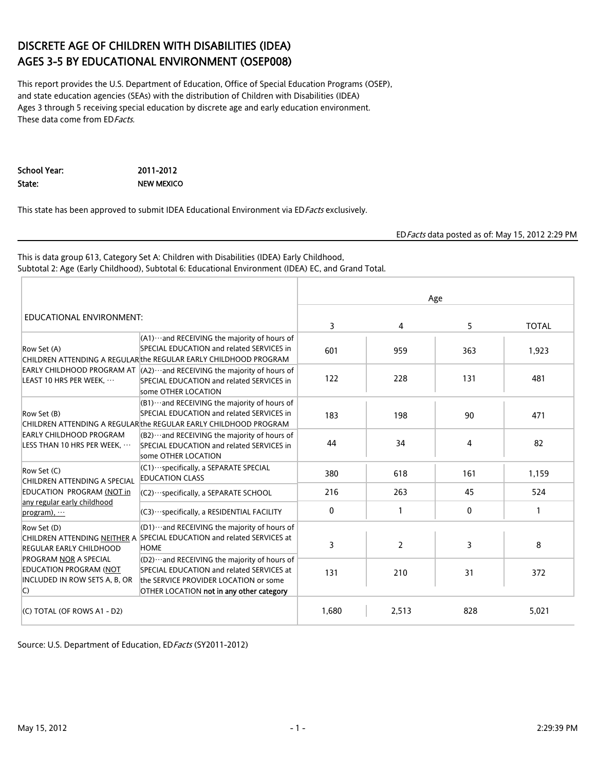## DISCRETE AGE OF CHILDREN WITH DISABILITIES (IDEA) AGES 3-5 BY EDUCATIONAL ENVIRONMENT (OSEP008)

This report provides the U.S. Department of Education, Office of Special Education Programs (OSEP), and state education agencies (SEAs) with the distribution of Children with Disabilities (IDEA) Ages 3 through 5 receiving special education by discrete age and early education environment. These data come from ED Facts.

School Year: 2011-2012 State: NEW MEXICO

This state has been approved to submit IDEA Educational Environment via EDFacts exclusively.

EDFacts data posted as of: May 15, 2012 2:29 PM

This is data group 613, Category Set A: Children with Disabilities (IDEA) Early Childhood, Subtotal 2: Age (Early Childhood), Subtotal 6: Educational Environment (IDEA) EC, and Grand Total.

|                                                                                                                                                                                                                                                                                                                                                                                                                                                                                                                                                                                                                                 |                                                                                                                                                                                 | Age   |                |              |              |  |  |
|---------------------------------------------------------------------------------------------------------------------------------------------------------------------------------------------------------------------------------------------------------------------------------------------------------------------------------------------------------------------------------------------------------------------------------------------------------------------------------------------------------------------------------------------------------------------------------------------------------------------------------|---------------------------------------------------------------------------------------------------------------------------------------------------------------------------------|-------|----------------|--------------|--------------|--|--|
| EDUCATIONAL ENVIRONMENT:<br>CHILDREN ATTENDING A REGULAR the REGULAR EARLY CHILDHOOD PROGRAM<br>EARLY CHILDHOOD PROGRAM AT $ $ (A2) ··· and RECEIVING the majority of hours of<br>some OTHER LOCATION<br>CHILDREN ATTENDING A REGULAR the REGULAR EARLY CHILDHOOD PROGRAM<br>some OTHER LOCATION<br>(C1) ··· specifically, a SEPARATE SPECIAL<br><b>EDUCATION CLASS</b><br>CHILDREN ATTENDING A SPECIAL<br>(C2) · · · specifically, a SEPARATE SCHOOL<br>any regular early childhood<br>(C3) · ·· specifically, a RESIDENTIAL FACILITY<br>CHILDREN ATTENDING NEITHER A SPECIAL EDUCATION and related SERVICES at<br><b>HOME</b> | 3                                                                                                                                                                               | 4     | 5              | <b>TOTAL</b> |              |  |  |
| Row Set (A)                                                                                                                                                                                                                                                                                                                                                                                                                                                                                                                                                                                                                     | $(A1)$ and RECEIVING the majority of hours of<br>SPECIAL EDUCATION and related SERVICES in                                                                                      | 601   | 959            | 363          | 1,923        |  |  |
| LEAST 10 HRS PER WEEK.                                                                                                                                                                                                                                                                                                                                                                                                                                                                                                                                                                                                          | SPECIAL EDUCATION and related SERVICES in                                                                                                                                       | 122   | 228            | 131          | 481          |  |  |
| Row Set (B)                                                                                                                                                                                                                                                                                                                                                                                                                                                                                                                                                                                                                     | $(B1)$ and RECEIVING the majority of hours of<br>SPECIAL EDUCATION and related SERVICES in                                                                                      | 183   | 198            | 90           | 471          |  |  |
| EARLY CHILDHOOD PROGRAM<br>LESS THAN 10 HRS PER WEEK, $\cdots$                                                                                                                                                                                                                                                                                                                                                                                                                                                                                                                                                                  | $(B2)$ and RECEIVING the majority of hours of<br>SPECIAL EDUCATION and related SERVICES in                                                                                      | 44    | 34             | 4            | 82           |  |  |
| Row Set (C)                                                                                                                                                                                                                                                                                                                                                                                                                                                                                                                                                                                                                     |                                                                                                                                                                                 | 380   | 618            | 161          | 1,159        |  |  |
| EDUCATION PROGRAM (NOT in                                                                                                                                                                                                                                                                                                                                                                                                                                                                                                                                                                                                       |                                                                                                                                                                                 | 216   | 263            | 45           | 524          |  |  |
| program), $\cdots$                                                                                                                                                                                                                                                                                                                                                                                                                                                                                                                                                                                                              |                                                                                                                                                                                 | 0     | $\mathbf{1}$   | 0            | $\mathbf{1}$ |  |  |
| Row Set (D)<br><b>REGULAR EARLY CHILDHOOD</b>                                                                                                                                                                                                                                                                                                                                                                                                                                                                                                                                                                                   | $[01)$ and RECEIVING the majority of hours of                                                                                                                                   | 3     | $\overline{2}$ | 3            | 8            |  |  |
| <b>PROGRAM NOR A SPECIAL</b><br><b>EDUCATION PROGRAM (NOT</b><br>INCLUDED IN ROW SETS A, B, OR<br>$\mathsf{C}$                                                                                                                                                                                                                                                                                                                                                                                                                                                                                                                  | $(D2)$ and RECEIVING the majority of hours of<br>SPECIAL EDUCATION and related SERVICES at<br>the SERVICE PROVIDER LOCATION or some<br>OTHER LOCATION not in any other category | 131   | 210            | 31           | 372          |  |  |
| (C) TOTAL (OF ROWS A1 - D2)                                                                                                                                                                                                                                                                                                                                                                                                                                                                                                                                                                                                     |                                                                                                                                                                                 | 1.680 | 2,513          | 828          | 5.021        |  |  |

Source: U.S. Department of Education, EDFacts (SY2011-2012)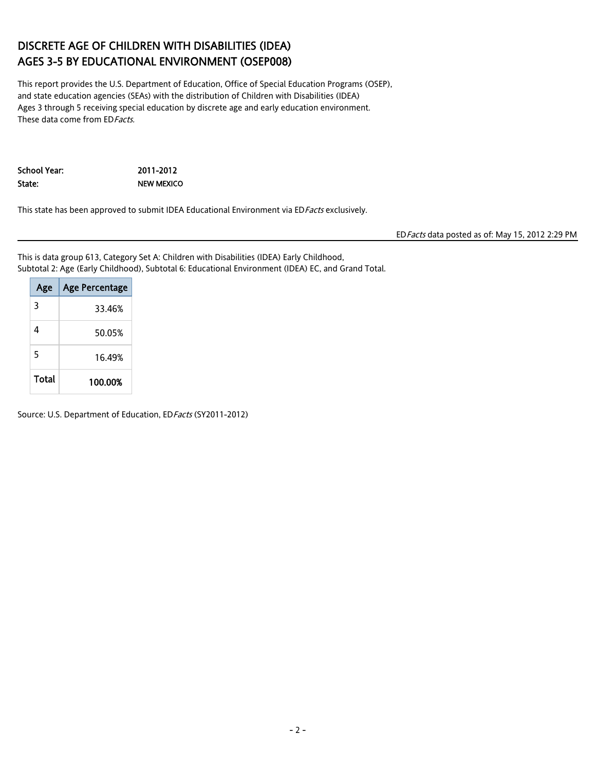## DISCRETE AGE OF CHILDREN WITH DISABILITIES (IDEA) AGES 3-5 BY EDUCATIONAL ENVIRONMENT (OSEP008)

This report provides the U.S. Department of Education, Office of Special Education Programs (OSEP), and state education agencies (SEAs) with the distribution of Children with Disabilities (IDEA) Ages 3 through 5 receiving special education by discrete age and early education environment. These data come from ED Facts.

School Year: 2011-2012 State: NEW MEXICO

This state has been approved to submit IDEA Educational Environment via EDFacts exclusively.

EDFacts data posted as of: May 15, 2012 2:29 PM

This is data group 613, Category Set A: Children with Disabilities (IDEA) Early Childhood, Subtotal 2: Age (Early Childhood), Subtotal 6: Educational Environment (IDEA) EC, and Grand Total.

| Age   | <b>Age Percentage</b> |
|-------|-----------------------|
| 3     | 33.46%                |
| Δ     | 50.05%                |
| 5     | 16.49%                |
| Total | 100.00%               |

Source: U.S. Department of Education, ED Facts (SY2011-2012)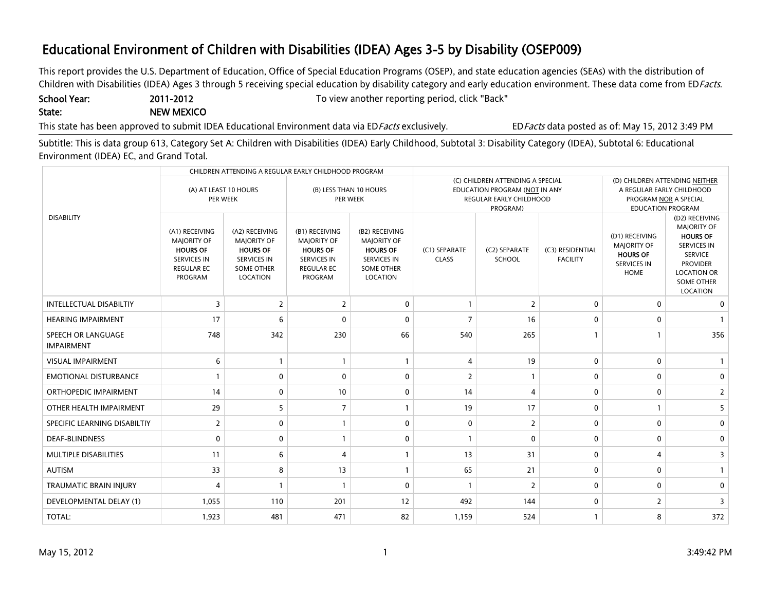This report provides the U.S. Department of Education, Office of Special Education Programs (OSEP), and state education agencies (SEAs) with the distribution of Children with Disabilities (IDEA) Ages 3 through 5 receiving special education by disability category and early education environment. These data come from EDFacts.

State: NEW MEXICO

School Year: 2011-2012 2011-2012 To view another reporting period, click "Back"

This state has been approved to submit IDEA Educational Environment data via ED Facts exclusively. EDFacts data posted as of: May 15, 2012 3:49 PM

Subtitle: This is data group 613, Category Set A: Children with Disabilities (IDEA) Early Childhood, Subtotal 3: Disability Category (IDEA), Subtotal 6: Educational Environment (IDEA) EC, and Grand Total.

| CHILDREN ATTENDING A REGULAR EARLY CHILDHOOD PROGRAM |                                                                                                               |                                                                                                                |                                                                                                                      |                                                                                                                |                                                                                                                  |                         |                                     |                                                                                              |                                                                                                                                                                           |
|------------------------------------------------------|---------------------------------------------------------------------------------------------------------------|----------------------------------------------------------------------------------------------------------------|----------------------------------------------------------------------------------------------------------------------|----------------------------------------------------------------------------------------------------------------|------------------------------------------------------------------------------------------------------------------|-------------------------|-------------------------------------|----------------------------------------------------------------------------------------------|---------------------------------------------------------------------------------------------------------------------------------------------------------------------------|
|                                                      | (A) AT LEAST 10 HOURS<br>(B) LESS THAN 10 HOURS<br>PER WEEK<br><b>PER WEEK</b>                                |                                                                                                                |                                                                                                                      | (C) CHILDREN ATTENDING A SPECIAL<br>EDUCATION PROGRAM (NOT IN ANY<br>REGULAR EARLY CHILDHOOD<br>PROGRAM)       | (D) CHILDREN ATTENDING NEITHER<br>A REGULAR EARLY CHILDHOOD<br>PROGRAM NOR A SPECIAL<br><b>EDUCATION PROGRAM</b> |                         |                                     |                                                                                              |                                                                                                                                                                           |
| <b>DISABILITY</b>                                    | (A1) RECEIVING<br><b>MAJORITY OF</b><br><b>HOURS OF</b><br><b>SERVICES IN</b><br><b>REGULAR EC</b><br>PROGRAM | (A2) RECEIVING<br><b>MAJORITY OF</b><br><b>HOURS OF</b><br><b>SERVICES IN</b><br><b>SOME OTHER</b><br>LOCATION | (B1) RECEIVING<br><b>MAJORITY OF</b><br><b>HOURS OF</b><br><b>SERVICES IN</b><br><b>REGULAR EC</b><br><b>PROGRAM</b> | (B2) RECEIVING<br><b>MAJORITY OF</b><br><b>HOURS OF</b><br><b>SERVICES IN</b><br><b>SOME OTHER</b><br>LOCATION | (C1) SEPARATE<br><b>CLASS</b>                                                                                    | (C2) SEPARATE<br>SCHOOL | (C3) RESIDENTIAL<br><b>FACILITY</b> | (D1) RECEIVING<br><b>MAJORITY OF</b><br><b>HOURS OF</b><br><b>SERVICES IN</b><br><b>HOME</b> | (D2) RECEIVING<br><b>MAJORITY OF</b><br><b>HOURS OF</b><br><b>SERVICES IN</b><br><b>SERVICE</b><br><b>PROVIDER</b><br><b>LOCATION OR</b><br><b>SOME OTHER</b><br>LOCATION |
| <b>INTELLECTUAL DISABILTIY</b>                       | 3                                                                                                             | 2                                                                                                              | $\overline{2}$                                                                                                       | $\Omega$                                                                                                       | $\mathbf{1}$                                                                                                     | $\overline{2}$          | $\mathbf 0$                         | $\mathbf{0}$                                                                                 | $\mathbf{0}$                                                                                                                                                              |
| <b>HEARING IMPAIRMENT</b>                            | 17                                                                                                            | 6                                                                                                              | $\Omega$                                                                                                             | $\Omega$                                                                                                       | $\overline{7}$                                                                                                   | 16                      | $\mathbf{0}$                        | $\mathbf{0}$                                                                                 |                                                                                                                                                                           |
| SPEECH OR LANGUAGE<br><b>IMPAIRMENT</b>              | 748                                                                                                           | 342                                                                                                            | 230                                                                                                                  | 66                                                                                                             | 540                                                                                                              | 265                     |                                     |                                                                                              | 356                                                                                                                                                                       |
| <b>VISUAL IMPAIRMENT</b>                             | 6                                                                                                             | $\mathbf{1}$                                                                                                   |                                                                                                                      |                                                                                                                | $\overline{4}$                                                                                                   | 19                      | $\mathbf 0$                         | 0                                                                                            |                                                                                                                                                                           |
| <b>EMOTIONAL DISTURBANCE</b>                         |                                                                                                               | $\mathbf 0$                                                                                                    | $\mathbf{0}$                                                                                                         | $\mathbf{0}$                                                                                                   | $\overline{2}$                                                                                                   |                         | $\mathbf 0$                         | 0                                                                                            | $\mathbf{0}$                                                                                                                                                              |
| <b>ORTHOPEDIC IMPAIRMENT</b>                         | 14                                                                                                            | 0                                                                                                              | 10                                                                                                                   | $\mathbf{0}$                                                                                                   | 14                                                                                                               | 4                       | $\mathbf 0$                         | 0                                                                                            | $\overline{2}$                                                                                                                                                            |
| OTHER HEALTH IMPAIRMENT                              | 29                                                                                                            | 5                                                                                                              | $\overline{7}$                                                                                                       |                                                                                                                | 19                                                                                                               | 17                      | $\mathbf 0$                         |                                                                                              | 5                                                                                                                                                                         |
| SPECIFIC LEARNING DISABILTIY                         | $\overline{2}$                                                                                                | 0                                                                                                              |                                                                                                                      | $\Omega$                                                                                                       | $\mathbf 0$                                                                                                      | $\overline{2}$          | $\mathbf 0$                         | $\mathbf{0}$                                                                                 | $\mathbf{0}$                                                                                                                                                              |
| <b>DEAF-BLINDNESS</b>                                | $\Omega$                                                                                                      | 0                                                                                                              |                                                                                                                      | $\Omega$                                                                                                       | $\mathbf{1}$                                                                                                     | $\mathbf{0}$            | 0                                   | 0                                                                                            | $\Omega$                                                                                                                                                                  |
| MULTIPLE DISABILITIES                                | 11                                                                                                            | 6                                                                                                              | $\overline{4}$                                                                                                       |                                                                                                                | 13                                                                                                               | 31                      | $\mathbf 0$                         | 4                                                                                            | 3                                                                                                                                                                         |
| <b>AUTISM</b>                                        | 33                                                                                                            | 8                                                                                                              | 13                                                                                                                   |                                                                                                                | 65                                                                                                               | 21                      | $\mathbf 0$                         | $\mathbf{0}$                                                                                 |                                                                                                                                                                           |
| <b>TRAUMATIC BRAIN INJURY</b>                        | 4                                                                                                             | $\mathbf{1}$                                                                                                   |                                                                                                                      | $\Omega$                                                                                                       | $\mathbf{1}$                                                                                                     | $\overline{2}$          | $\mathbf 0$                         | 0                                                                                            | $\mathbf{0}$                                                                                                                                                              |
| <b>DEVELOPMENTAL DELAY (1)</b>                       | 1,055                                                                                                         | 110                                                                                                            | 201                                                                                                                  | 12                                                                                                             | 492                                                                                                              | 144                     | $\mathbf 0$                         | $\overline{2}$                                                                               | 3                                                                                                                                                                         |
| TOTAL:                                               | 1,923                                                                                                         | 481                                                                                                            | 471                                                                                                                  | 82                                                                                                             | 1,159                                                                                                            | 524                     |                                     | 8                                                                                            | 372                                                                                                                                                                       |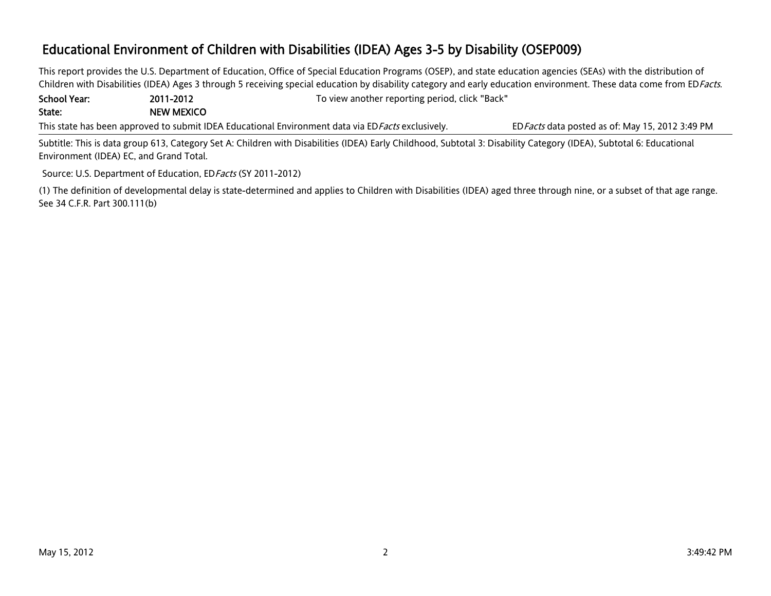This report provides the U.S. Department of Education, Office of Special Education Programs (OSEP), and state education agencies (SEAs) with the distribution of Children with Disabilities (IDEA) Ages 3 through 5 receiving special education by disability category and early education environment. These data come from EDFacts.

School Year: 2011-2012 To view another reporting period, click "Back" State: NEW MEXICO

This state has been approved to submit IDEA Educational Environment data via ED*Facts* exclusively. EDFacts data posted as of: May 15, 2012 3:49 PM

Subtitle: This is data group 613, Category Set A: Children with Disabilities (IDEA) Early Childhood, Subtotal 3: Disability Category (IDEA), Subtotal 6: Educational Environment (IDEA) EC, and Grand Total.

Source: U.S. Department of Education, ED Facts (SY 2011-2012)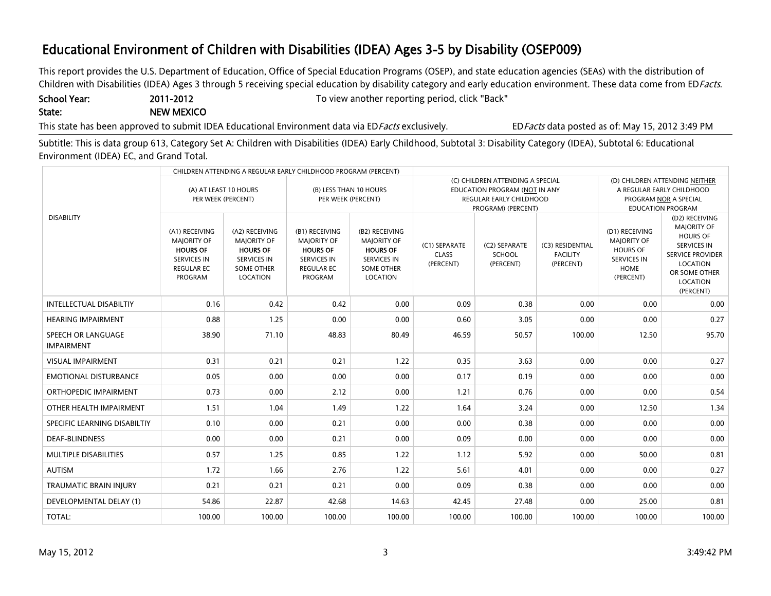This report provides the U.S. Department of Education, Office of Special Education Programs (OSEP), and state education agencies (SEAs) with the distribution of Children with Disabilities (IDEA) Ages 3 through 5 receiving special education by disability category and early education environment. These data come from EDFacts.

State: NEW MEXICO

School Year: 2011-2012 2011-2012 To view another reporting period, click "Back"

This state has been approved to submit IDEA Educational Environment data via ED Facts exclusively. EDFacts data posted as of: May 15, 2012 3:49 PM

Subtitle: This is data group 613, Category Set A: Children with Disabilities (IDEA) Early Childhood, Subtotal 3: Disability Category (IDEA), Subtotal 6: Educational Environment (IDEA) EC, and Grand Total.

| CHILDREN ATTENDING A REGULAR EARLY CHILDHOOD PROGRAM (PERCENT) |                                                                                                                      |                                                                                                                |                                                                                                                      |                                                                                                                |                                            |                                                                                                                           |                                                                                                                  |                                                                                                    |                                                                                                                                                                       |
|----------------------------------------------------------------|----------------------------------------------------------------------------------------------------------------------|----------------------------------------------------------------------------------------------------------------|----------------------------------------------------------------------------------------------------------------------|----------------------------------------------------------------------------------------------------------------|--------------------------------------------|---------------------------------------------------------------------------------------------------------------------------|------------------------------------------------------------------------------------------------------------------|----------------------------------------------------------------------------------------------------|-----------------------------------------------------------------------------------------------------------------------------------------------------------------------|
|                                                                |                                                                                                                      | (B) LESS THAN 10 HOURS<br>(A) AT LEAST 10 HOURS<br>PER WEEK (PERCENT)<br>PER WEEK (PERCENT)                    |                                                                                                                      |                                                                                                                |                                            | (C) CHILDREN ATTENDING A SPECIAL<br>EDUCATION PROGRAM (NOT IN ANY<br><b>REGULAR EARLY CHILDHOOD</b><br>PROGRAM) (PERCENT) | (D) CHILDREN ATTENDING NEITHER<br>A REGULAR EARLY CHILDHOOD<br>PROGRAM NOR A SPECIAL<br><b>EDUCATION PROGRAM</b> |                                                                                                    |                                                                                                                                                                       |
| <b>DISABILITY</b>                                              | (A1) RECEIVING<br><b>MAJORITY OF</b><br><b>HOURS OF</b><br><b>SERVICES IN</b><br><b>REGULAR EC</b><br><b>PROGRAM</b> | (A2) RECEIVING<br><b>MAJORITY OF</b><br><b>HOURS OF</b><br><b>SERVICES IN</b><br><b>SOME OTHER</b><br>LOCATION | (B1) RECEIVING<br><b>MAJORITY OF</b><br><b>HOURS OF</b><br><b>SERVICES IN</b><br><b>REGULAR EC</b><br><b>PROGRAM</b> | (B2) RECEIVING<br><b>MAJORITY OF</b><br><b>HOURS OF</b><br><b>SERVICES IN</b><br><b>SOME OTHER</b><br>LOCATION | (C1) SEPARATE<br><b>CLASS</b><br>(PERCENT) | (C2) SEPARATE<br>SCHOOL<br>(PERCENT)                                                                                      | (C3) RESIDENTIAL<br><b>FACILITY</b><br>(PERCENT)                                                                 | (D1) RECEIVING<br><b>MAJORITY OF</b><br><b>HOURS OF</b><br><b>SERVICES IN</b><br>HOME<br>(PERCENT) | (D2) RECEIVING<br><b>MAJORITY OF</b><br><b>HOURS OF</b><br><b>SERVICES IN</b><br><b>SERVICE PROVIDER</b><br><b>LOCATION</b><br>OR SOME OTHER<br>LOCATION<br>(PERCENT) |
| <b>INTELLECTUAL DISABILTIY</b>                                 | 0.16                                                                                                                 | 0.42                                                                                                           | 0.42                                                                                                                 | 0.00                                                                                                           | 0.09                                       | 0.38                                                                                                                      | 0.00                                                                                                             | 0.00                                                                                               | 0.00                                                                                                                                                                  |
| <b>HEARING IMPAIRMENT</b>                                      | 0.88                                                                                                                 | 1.25                                                                                                           | 0.00                                                                                                                 | 0.00                                                                                                           | 0.60                                       | 3.05                                                                                                                      | 0.00                                                                                                             | 0.00                                                                                               | 0.27                                                                                                                                                                  |
| SPEECH OR LANGUAGE<br><b>IMPAIRMENT</b>                        | 38.90                                                                                                                | 71.10                                                                                                          | 48.83                                                                                                                | 80.49                                                                                                          | 46.59                                      | 50.57                                                                                                                     | 100.00                                                                                                           | 12.50                                                                                              | 95.70                                                                                                                                                                 |
| <b>VISUAL IMPAIRMENT</b>                                       | 0.31                                                                                                                 | 0.21                                                                                                           | 0.21                                                                                                                 | 1.22                                                                                                           | 0.35                                       | 3.63                                                                                                                      | 0.00                                                                                                             | 0.00                                                                                               | 0.27                                                                                                                                                                  |
| <b>EMOTIONAL DISTURBANCE</b>                                   | 0.05                                                                                                                 | 0.00                                                                                                           | 0.00                                                                                                                 | 0.00                                                                                                           | 0.17                                       | 0.19                                                                                                                      | 0.00                                                                                                             | 0.00                                                                                               | 0.00                                                                                                                                                                  |
| ORTHOPEDIC IMPAIRMENT                                          | 0.73                                                                                                                 | 0.00                                                                                                           | 2.12                                                                                                                 | 0.00                                                                                                           | 1.21                                       | 0.76                                                                                                                      | 0.00                                                                                                             | 0.00                                                                                               | 0.54                                                                                                                                                                  |
| OTHER HEALTH IMPAIRMENT                                        | 1.51                                                                                                                 | 1.04                                                                                                           | 1.49                                                                                                                 | 1.22                                                                                                           | 1.64                                       | 3.24                                                                                                                      | 0.00                                                                                                             | 12.50                                                                                              | 1.34                                                                                                                                                                  |
| SPECIFIC LEARNING DISABILTIY                                   | 0.10                                                                                                                 | 0.00                                                                                                           | 0.21                                                                                                                 | 0.00                                                                                                           | 0.00                                       | 0.38                                                                                                                      | 0.00                                                                                                             | 0.00                                                                                               | 0.00                                                                                                                                                                  |
| <b>DEAF-BLINDNESS</b>                                          | 0.00                                                                                                                 | 0.00                                                                                                           | 0.21                                                                                                                 | 0.00                                                                                                           | 0.09                                       | 0.00                                                                                                                      | 0.00                                                                                                             | 0.00                                                                                               | 0.00                                                                                                                                                                  |
| <b>MULTIPLE DISABILITIES</b>                                   | 0.57                                                                                                                 | 1.25                                                                                                           | 0.85                                                                                                                 | 1.22                                                                                                           | 1.12                                       | 5.92                                                                                                                      | 0.00                                                                                                             | 50.00                                                                                              | 0.81                                                                                                                                                                  |
| <b>AUTISM</b>                                                  | 1.72                                                                                                                 | 1.66                                                                                                           | 2.76                                                                                                                 | 1.22                                                                                                           | 5.61                                       | 4.01                                                                                                                      | 0.00                                                                                                             | 0.00                                                                                               | 0.27                                                                                                                                                                  |
| <b>TRAUMATIC BRAIN INJURY</b>                                  | 0.21                                                                                                                 | 0.21                                                                                                           | 0.21                                                                                                                 | 0.00                                                                                                           | 0.09                                       | 0.38                                                                                                                      | 0.00                                                                                                             | 0.00                                                                                               | 0.00                                                                                                                                                                  |
| <b>DEVELOPMENTAL DELAY (1)</b>                                 | 54.86                                                                                                                | 22.87                                                                                                          | 42.68                                                                                                                | 14.63                                                                                                          | 42.45                                      | 27.48                                                                                                                     | 0.00                                                                                                             | 25.00                                                                                              | 0.81                                                                                                                                                                  |
| <b>TOTAL:</b>                                                  | 100.00                                                                                                               | 100.00                                                                                                         | 100.00                                                                                                               | 100.00                                                                                                         | 100.00                                     | 100.00                                                                                                                    | 100.00                                                                                                           | 100.00                                                                                             | 100.00                                                                                                                                                                |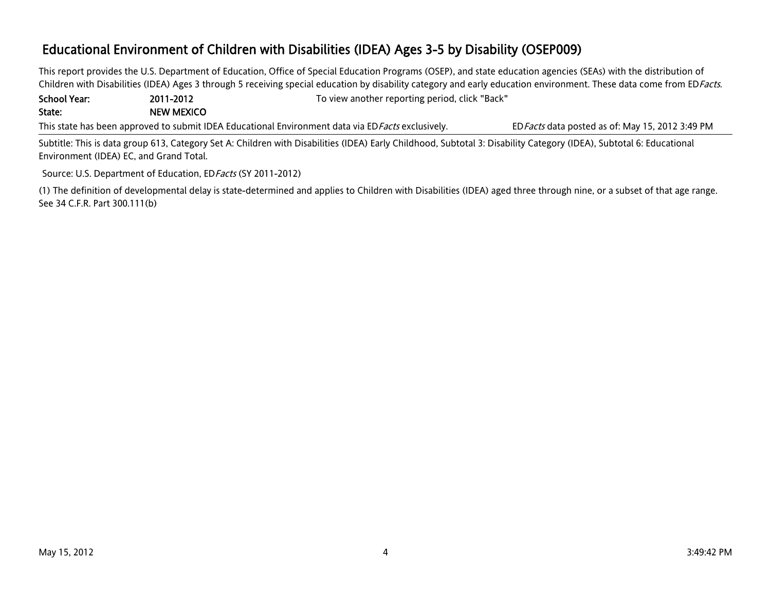This report provides the U.S. Department of Education, Office of Special Education Programs (OSEP), and state education agencies (SEAs) with the distribution of Children with Disabilities (IDEA) Ages 3 through 5 receiving special education by disability category and early education environment. These data come from EDFacts.

School Year: 2011-2012 To view another reporting period, click "Back" State: NEW MEXICO

This state has been approved to submit IDEA Educational Environment data via ED*Facts* exclusively. EDFacts data posted as of: May 15, 2012 3:49 PM

Subtitle: This is data group 613, Category Set A: Children with Disabilities (IDEA) Early Childhood, Subtotal 3: Disability Category (IDEA), Subtotal 6: Educational Environment (IDEA) EC, and Grand Total.

Source: U.S. Department of Education, ED Facts (SY 2011-2012)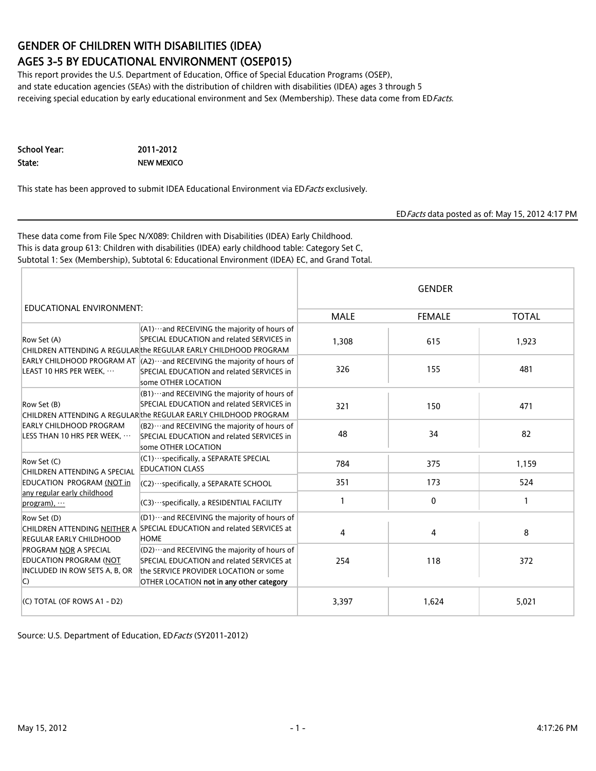# GENDER OF CHILDREN WITH DISABILITIES (IDEA)

### AGES 3-5 BY EDUCATIONAL ENVIRONMENT (OSEP015)

This report provides the U.S. Department of Education, Office of Special Education Programs (OSEP), and state education agencies (SEAs) with the distribution of children with disabilities (IDEA) ages 3 through 5 receiving special education by early educational environment and Sex (Membership). These data come from EDFacts.

| School Year: | 2011-2012  |
|--------------|------------|
| State:       | NEW MEXICO |

This state has been approved to submit IDEA Educational Environment via EDFacts exclusively.

#### EDFacts data posted as of: May 15, 2012 4:17 PM

These data come from File Spec N/X089: Children with Disabilities (IDEA) Early Childhood. This is data group 613: Children with disabilities (IDEA) early childhood table: Category Set C, Subtotal 1: Sex (Membership), Subtotal 6: Educational Environment (IDEA) EC, and Grand Total.

|                                                                                                           |                                                                                                                                                                                 | <b>GENDER</b> |               |              |  |  |
|-----------------------------------------------------------------------------------------------------------|---------------------------------------------------------------------------------------------------------------------------------------------------------------------------------|---------------|---------------|--------------|--|--|
| EDUCATIONAL ENVIRONMENT:                                                                                  |                                                                                                                                                                                 | <b>MALE</b>   | <b>FEMALE</b> | <b>TOTAL</b> |  |  |
| Row Set (A)                                                                                               | $(A1)$ and RECEIVING the majority of hours of<br>SPECIAL EDUCATION and related SERVICES in<br>CHILDREN ATTENDING A REGULAR the REGULAR EARLY CHILDHOOD PROGRAM                  | 1,308         | 615           | 1,923        |  |  |
| LEAST 10 HRS PER WEEK,                                                                                    | EARLY CHILDHOOD PROGRAM AT $(A2)$ and RECEIVING the majority of hours of<br>SPECIAL EDUCATION and related SERVICES in<br>some OTHER LOCATION                                    | 326           | 155           | 481          |  |  |
| Row Set (B)<br>EARLY CHILDHOOD PROGRAM<br>LESS THAN 10 HRS PER WEEK,                                      | $(B1)$ and RECEIVING the majority of hours of<br>SPECIAL EDUCATION and related SERVICES in<br>CHILDREN ATTENDING A REGULAR the REGULAR EARLY CHILDHOOD PROGRAM                  | 321           | 150           | 471          |  |  |
|                                                                                                           | $(B2)$ and RECEIVING the majority of hours of<br>SPECIAL EDUCATION and related SERVICES in<br>some OTHER LOCATION                                                               | 48            | 34            | 82           |  |  |
| Row Set (C)<br>CHILDREN ATTENDING A SPECIAL                                                               | $ $ (C1) $\cdots$ specifically, a SEPARATE SPECIAL<br><b>EDUCATION CLASS</b>                                                                                                    | 784           | 375           | 1,159        |  |  |
| EDUCATION PROGRAM (NOT in                                                                                 | $ $ (C2) $\cdots$ specifically, a SEPARATE SCHOOL                                                                                                                               | 351           | 173           | 524          |  |  |
| any regular early childhood<br>$program)$ .                                                               | (C3) · ·· specifically, a RESIDENTIAL FACILITY                                                                                                                                  | 1             | 0             | 1            |  |  |
| Row Set (D)<br><b>REGULAR EARLY CHILDHOOD</b>                                                             | $ $ (D1) $\cdots$ and RECEIVING the majority of hours of<br>CHILDREN ATTENDING NEITHER A SPECIAL EDUCATION and related SERVICES at<br><b>HOME</b>                               | 4             | 4             | 8            |  |  |
| <b>PROGRAM NOR A SPECIAL</b><br><b>EDUCATION PROGRAM (NOT</b><br>INCLUDED IN ROW SETS A, B, OR<br>$\circ$ | $[02)$ and RECEIVING the majority of hours of<br>SPECIAL EDUCATION and related SERVICES at<br>the SERVICE PROVIDER LOCATION or some<br>OTHER LOCATION not in any other category | 254           | 118           | 372          |  |  |
| (C) TOTAL (OF ROWS A1 - D2)                                                                               |                                                                                                                                                                                 | 3,397         | 1,624         | 5,021        |  |  |

Source: U.S. Department of Education, EDFacts (SY2011-2012)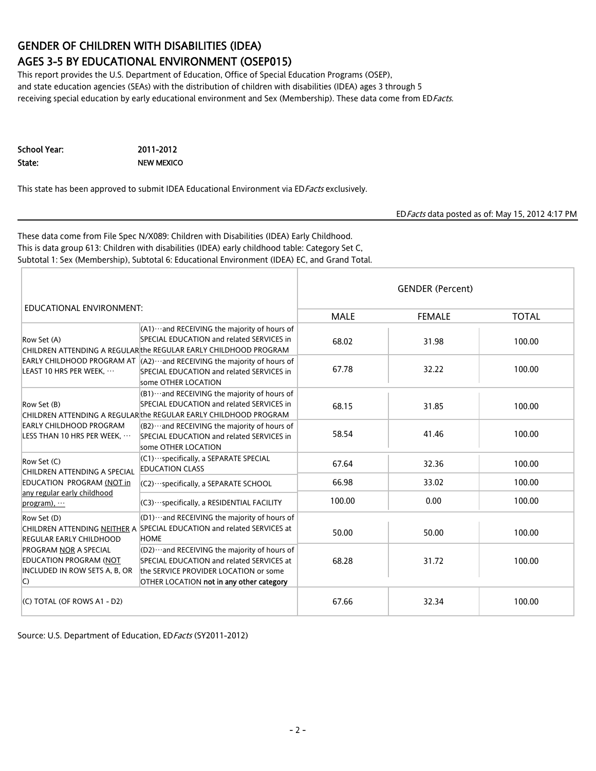# GENDER OF CHILDREN WITH DISABILITIES (IDEA)

### AGES 3-5 BY EDUCATIONAL ENVIRONMENT (OSEP015)

This report provides the U.S. Department of Education, Office of Special Education Programs (OSEP), and state education agencies (SEAs) with the distribution of children with disabilities (IDEA) ages 3 through 5 receiving special education by early educational environment and Sex (Membership). These data come from EDFacts.

| School Year: | 2011-2012  |
|--------------|------------|
| State:       | NEW MEXICO |

This state has been approved to submit IDEA Educational Environment via EDFacts exclusively.

#### EDFacts data posted as of: May 15, 2012 4:17 PM

These data come from File Spec N/X089: Children with Disabilities (IDEA) Early Childhood. This is data group 613: Children with disabilities (IDEA) early childhood table: Category Set C, Subtotal 1: Sex (Membership), Subtotal 6: Educational Environment (IDEA) EC, and Grand Total.

|                                                                                                         |                                                                                                                                                                                 | <b>GENDER (Percent)</b> |               |              |  |  |
|---------------------------------------------------------------------------------------------------------|---------------------------------------------------------------------------------------------------------------------------------------------------------------------------------|-------------------------|---------------|--------------|--|--|
| EDUCATIONAL ENVIRONMENT:                                                                                |                                                                                                                                                                                 | <b>MALE</b>             | <b>FEMALE</b> | <b>TOTAL</b> |  |  |
| Row Set (A)                                                                                             | $(A1)$ and RECEIVING the majority of hours of<br>SPECIAL EDUCATION and related SERVICES in<br>CHILDREN ATTENDING A REGULAR the REGULAR EARLY CHILDHOOD PROGRAM                  | 68.02                   | 31.98         | 100.00       |  |  |
| LEAST 10 HRS PER WEEK,                                                                                  | EARLY CHILDHOOD PROGRAM AT $ $ (A2) ··· and RECEIVING the majority of hours of<br>SPECIAL EDUCATION and related SERVICES in<br>some OTHER LOCATION                              | 67.78                   | 32.22         | 100.00       |  |  |
| Row Set (B)                                                                                             | (B1) ··· and RECEIVING the majority of hours of<br>SPECIAL EDUCATION and related SERVICES in<br>CHILDREN ATTENDING A REGULAR the REGULAR EARLY CHILDHOOD PROGRAM                | 68.15                   | 31.85         | 100.00       |  |  |
| <b>EARLY CHILDHOOD PROGRAM</b><br>LESS THAN 10 HRS PER WEEK,                                            | $(B2)$ and RECEIVING the majority of hours of<br>SPECIAL EDUCATION and related SERVICES in<br>some OTHER LOCATION                                                               | 58.54                   | 41.46         | 100.00       |  |  |
| Row Set (C)<br>CHILDREN ATTENDING A SPECIAL                                                             | $(C1) \cdots$ specifically, a SEPARATE SPECIAL<br><b>EDUCATION CLASS</b>                                                                                                        | 67.64                   | 32.36         | 100.00       |  |  |
| EDUCATION PROGRAM (NOT in                                                                               | $ $ (C2) $\cdots$ specifically, a SEPARATE SCHOOL                                                                                                                               | 66.98                   | 33.02         | 100.00       |  |  |
| any regular early childhood<br>$program)$ .                                                             | (C3) ··· specifically, a RESIDENTIAL FACILITY                                                                                                                                   | 100.00                  | 0.00          | 100.00       |  |  |
| Row Set (D)<br><b>REGULAR EARLY CHILDHOOD</b>                                                           | $ $ (D1) $\cdots$ and RECEIVING the majority of hours of<br>CHILDREN ATTENDING NEITHER A SPECIAL EDUCATION and related SERVICES at<br><b>HOME</b>                               | 50.00                   | 50.00         | 100.00       |  |  |
| <b>PROGRAM NOR A SPECIAL</b><br>EDUCATION PROGRAM (NOT<br>INCLUDED IN ROW SETS A. B. OR<br>$\mathsf{C}$ | $[02)$ and RECEIVING the majority of hours of<br>SPECIAL EDUCATION and related SERVICES at<br>the SERVICE PROVIDER LOCATION or some<br>OTHER LOCATION not in any other category | 68.28                   | 31.72         | 100.00       |  |  |
| (C) TOTAL (OF ROWS A1 - D2)                                                                             |                                                                                                                                                                                 | 67.66                   | 32.34         | 100.00       |  |  |

Source: U.S. Department of Education, EDFacts (SY2011-2012)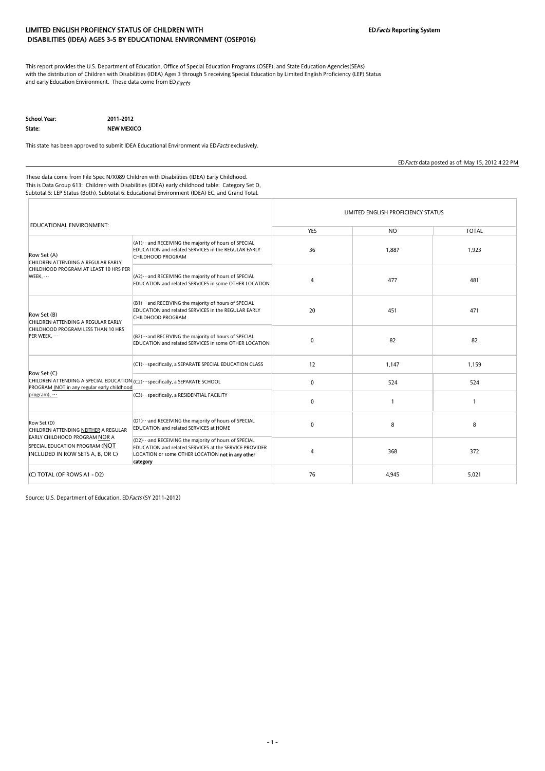### LIMITED ENGLISH PROFIENCY STATUS OF CHILDREN WITH THE STATE STATE SYSTEM EDFacts Reporting System DISABILITIES (IDEA) AGES 3-5 BY EDUCATIONAL ENVIRONMENT (OSEP016)

This report provides the U.S. Department of Education, Office of Special Education Programs (OSEP), and State Education Agencies(SEAs) with the distribution of Children with Disabilities (IDEA) Ages 3 through 5 receiving Special Education by Limited English Proficiency (LEP) Status and early Education Environment. These data come from ED  $Facts$ 

School Year: 2011-2012

H

State: NEW MEXICO

This state has been approved to submit IDEA Educational Environment via ED Facts exclusively.

EDFacts data posted as of: May 15, 2012 4:22 PM

These data come from File Spec N/X089 Children with Disabilities (IDEA) Early Childhood. This is Data Group 613: Children with Disabilities (IDEA) early childhood table: Category Set D, Subtotal 5: LEP Status (Both), Subtotal 6: Educational Environment (IDEA) EC, and Grand Total.

|                                                                                                                                               |                                                                                                                                                                                   | LIMITED ENGLISH PROFICIENCY STATUS |           |                |  |  |
|-----------------------------------------------------------------------------------------------------------------------------------------------|-----------------------------------------------------------------------------------------------------------------------------------------------------------------------------------|------------------------------------|-----------|----------------|--|--|
| EDUCATIONAL ENVIRONMENT:                                                                                                                      |                                                                                                                                                                                   | <b>YES</b>                         | <b>NO</b> | <b>TOTAL</b>   |  |  |
| Row Set (A)<br>CHILDREN ATTENDING A REGULAR EARLY<br>CHILDHOOD PROGRAM AT LEAST 10 HRS PER<br>WEEK,                                           | (A1) ··· and RECEIVING the majority of hours of SPECIAL<br><b>EDUCATION and related SERVICES in the REGULAR EARLY</b><br>CHILDHOOD PROGRAM                                        | 36                                 | 1,887     | 1,923          |  |  |
|                                                                                                                                               | (A2) ··· and RECEIVING the majority of hours of SPECIAL<br><b>EDUCATION and related SERVICES in some OTHER LOCATION</b>                                                           | $\overline{4}$                     | 477       | 481            |  |  |
| Row Set (B)<br>CHILDREN ATTENDING A REGULAR EARLY                                                                                             | (B1) ··· and RECEIVING the majority of hours of SPECIAL<br>EDUCATION and related SERVICES in the REGULAR EARLY<br>CHILDHOOD PROGRAM                                               | 20                                 | 451       | 471            |  |  |
| CHILDHOOD PROGRAM LESS THAN 10 HRS<br>PER WEEK,                                                                                               | (B2) ··· and RECEIVING the majority of hours of SPECIAL<br><b>EDUCATION and related SERVICES in some OTHER LOCATION</b>                                                           | $\mathbf{0}$                       | 82        | 82             |  |  |
|                                                                                                                                               | (C1) ··· specifically, a SEPARATE SPECIAL EDUCATION CLASS                                                                                                                         | 12                                 | 1,147     | 1,159          |  |  |
| Row Set (C)<br>CHILDREN ATTENDING A SPECIAL EDUCATION (C2) ··· specifically, a SEPARATE SCHOOL<br>PROGRAM (NOT in any regular early childhood |                                                                                                                                                                                   | $\mathbf 0$                        | 524       | 524            |  |  |
| program),                                                                                                                                     | (C3) ··· specifically, a RESIDENTIAL FACILITY                                                                                                                                     | $\mathbf 0$                        |           | $\overline{1}$ |  |  |
| Row Set (D)<br>CHILDREN ATTENDING NEITHER A REGULAR                                                                                           | (D1) ··· and RECEIVING the majority of hours of SPECIAL<br><b>EDUCATION and related SERVICES at HOME</b>                                                                          | $\mathbf 0$                        | 8         | 8              |  |  |
| <b>EARLY CHILDHOOD PROGRAM NOR A</b><br>SPECIAL EDUCATION PROGRAM (NOT<br>INCLUDED IN ROW SETS A, B, OR C)                                    | (D2) ··· and RECEIVING the majority of hours of SPECIAL<br>EDUCATION and related SERVICES at the SERVICE PROVIDER<br>LOCATION or some OTHER LOCATION not in any other<br>category | $\overline{4}$                     | 368       | 372            |  |  |
| $(C)$ TOTAL (OF ROWS A1 - D2)                                                                                                                 |                                                                                                                                                                                   | 76                                 | 4,945     | 5,021          |  |  |

Source: U.S. Department of Education, ED Facts (SY 2011-2012)

#### - 1 -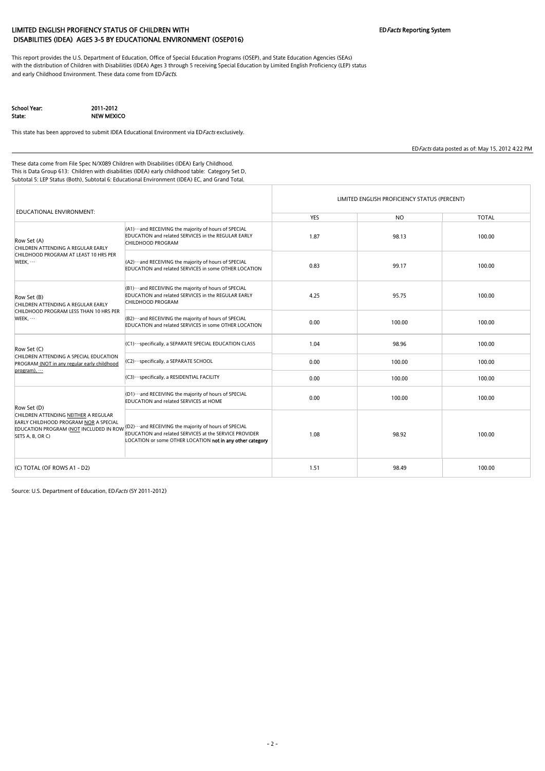### LIMITED ENGLISH PROFIENCY STATUS OF CHILDREN WITH **EDFACTS** Reporting System DISABILITIES (IDEA) AGES 3-5 BY EDUCATIONAL ENVIRONMENT (OSEP016)

This report provides the U.S. Department of Education, Office of Special Education Programs (OSEP), and State Education Agencies (SEAs) with the distribution of Children with Disabilities (IDEA) Ages 3 through 5 receiving Special Education by Limited English Proficiency (LEP) status and early Childhood Environment. These data come from ED Facts.

School Year: 2011-2012

State: NEW MEXICO

This state has been approved to submit IDEA Educational Environment via EDFacts exclusively.

EDFacts data posted as of: May 15, 2012 4:22 PM

These data come from File Spec N/X089 Children with Disabilities (IDEA) Early Childhood. This is Data Group 613: Children with disabilities (IDEA) early childhood table: Category Set D, Subtotal 5: LEP Status (Both), Subtotal 6: Educational Environment (IDEA) EC, and Grand Total.

| EDUCATIONAL ENVIRONMENT:                                                                                                                    |                                                                                                                                                                                       | LIMITED ENGLISH PROFICIENCY STATUS (PERCENT) |           |              |  |  |  |
|---------------------------------------------------------------------------------------------------------------------------------------------|---------------------------------------------------------------------------------------------------------------------------------------------------------------------------------------|----------------------------------------------|-----------|--------------|--|--|--|
|                                                                                                                                             |                                                                                                                                                                                       | <b>YES</b>                                   | <b>NO</b> | <b>TOTAL</b> |  |  |  |
| Row Set (A)<br>CHILDREN ATTENDING A REGULAR EARLY                                                                                           | (A1) ··· and RECEIVING the majority of hours of SPECIAL<br>EDUCATION and related SERVICES in the REGULAR EARLY<br>CHILDHOOD PROGRAM                                                   | 1.87                                         | 98.13     | 100.00       |  |  |  |
| CHILDHOOD PROGRAM AT LEAST 10 HRS PER<br>WEEK,                                                                                              | (A2) ··· and RECEIVING the majority of hours of SPECIAL<br><b>EDUCATION and related SERVICES in some OTHER LOCATION</b>                                                               | 0.83                                         | 99.17     | 100.00       |  |  |  |
| Row Set (B)<br>CHILDREN ATTENDING A REGULAR EARLY                                                                                           | (B1) ··· and RECEIVING the majority of hours of SPECIAL<br><b>EDUCATION and related SERVICES in the REGULAR EARLY</b><br>CHILDHOOD PROGRAM                                            | 4.25                                         | 95.75     | 100.00       |  |  |  |
| CHILDHOOD PROGRAM LESS THAN 10 HRS PER<br>WEEK,                                                                                             | $ $ (B2) $\cdots$ and RECEIVING the majority of hours of SPECIAL<br>EDUCATION and related SERVICES in some OTHER LOCATION                                                             | 0.00                                         | 100.00    | 100.00       |  |  |  |
| Row Set (C)                                                                                                                                 | (C1) ··· specifically, a SEPARATE SPECIAL EDUCATION CLASS                                                                                                                             | 1.04                                         | 98.96     | 100.00       |  |  |  |
| CHILDREN ATTENDING A SPECIAL EDUCATION<br>PROGRAM (NOT in any regular early childhood<br>program),                                          | (C2) ··· specifically, a SEPARATE SCHOOL                                                                                                                                              | 0.00                                         | 100.00    | 100.00       |  |  |  |
|                                                                                                                                             | (C3) ··· specifically, a RESIDENTIAL FACILITY                                                                                                                                         | 0.00                                         | 100.00    | 100.00       |  |  |  |
| Row Set (D)                                                                                                                                 | (D1) ··· and RECEIVING the majority of hours of SPECIAL<br><b>EDUCATION and related SERVICES at HOME</b>                                                                              | 0.00                                         | 100.00    | 100.00       |  |  |  |
| CHILDREN ATTENDING NEITHER A REGULAR<br>EARLY CHILDHOOD PROGRAM NOR A SPECIAL<br>EDUCATION PROGRAM (NOT INCLUDED IN ROW<br>SETS A, B, OR C) | (D2) ··· and RECEIVING the majority of hours of SPECIAL<br><b>EDUCATION and related SERVICES at the SERVICE PROVIDER</b><br>LOCATION or some OTHER LOCATION not in any other category | 1.08                                         | 98.92     | 100.00       |  |  |  |
| (C) TOTAL (OF ROWS A1 - D2)                                                                                                                 |                                                                                                                                                                                       | 1.51                                         | 98.49     | 100.00       |  |  |  |

Source: U.S. Department of Education, ED Facts (SY 2011-2012)

#### - 2 -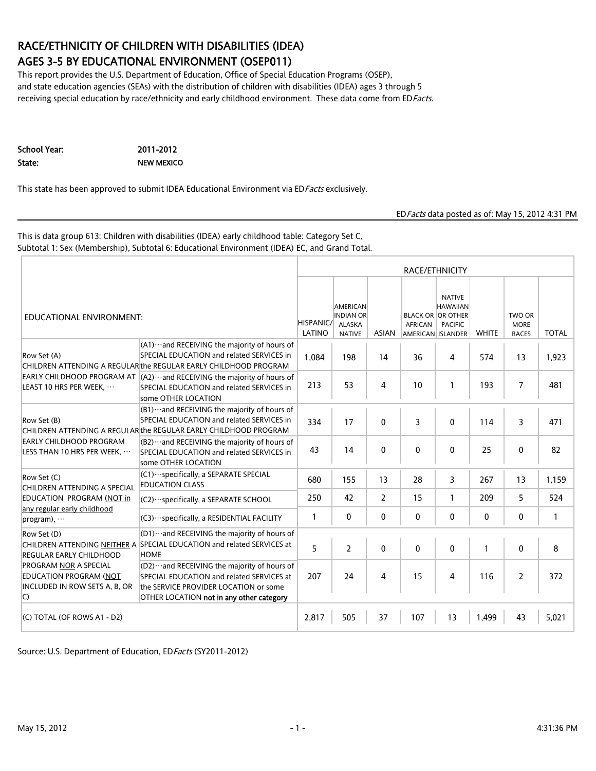### RACE/ETHNICITY OF CHILDREN WITH DISABILITIES (IDEA) AGES 3-5 BY EDUCATIONAL ENVIRONMENT (OSEP011)

This report provides the U.S. Department of Education, Office of Special Education Programs (OSEP), and state education agencies (SEAs) with the distribution of children with disabilities (IDEA) ages 3 through 5 receiving special education by race/ethnicity and early childhood environment. These data come from EDFacts.

School Year: 2011-2012 State: NEW MEXICO

This state has been approved to submit IDEA Educational Environment via EDFacts exclusively.

EDFacts data posted as of: May 15, 2012 4:31 PM

This is data group 613: Children with disabilities (IDEA) early childhood table: Category Set C, Subtotal 1: Sex (Membership), Subtotal 6: Educational Environment (IDEA) EC, and Grand Total.

|                                                                                                                                                                                                                                                                                                                                                                                                   | RACE/ETHNICITY                                                                                                                                                                  |                     |                                                                       |                |                |                                                                                                     |              |                                       |              |
|---------------------------------------------------------------------------------------------------------------------------------------------------------------------------------------------------------------------------------------------------------------------------------------------------------------------------------------------------------------------------------------------------|---------------------------------------------------------------------------------------------------------------------------------------------------------------------------------|---------------------|-----------------------------------------------------------------------|----------------|----------------|-----------------------------------------------------------------------------------------------------|--------------|---------------------------------------|--------------|
| EDUCATIONAL ENVIRONMENT:                                                                                                                                                                                                                                                                                                                                                                          |                                                                                                                                                                                 | HISPANIC/<br>LATINO | <b>AMERICAN</b><br><b>INDIAN OR</b><br><b>ALASKA</b><br><b>NATIVE</b> | <b>ASIAN</b>   | <b>AFRICAN</b> | <b>NATIVE</b><br><b>HAWAIIAN</b><br><b>BLACK OR OR OTHER</b><br><b>PACIFIC</b><br>AMERICAN ISLANDER | <b>WHITE</b> | TWO OR<br><b>MORE</b><br><b>RACES</b> | <b>TOTAL</b> |
| Row Set (A)                                                                                                                                                                                                                                                                                                                                                                                       | $(A1)$ and RECEIVING the majority of hours of<br>SPECIAL EDUCATION and related SERVICES in<br>CHILDREN ATTENDING A REGULAR the REGULAR EARLY CHILDHOOD PROGRAM                  | 1,084               | 198                                                                   | 14             | 36             | 4                                                                                                   | 574          | 13                                    | 1,923        |
| LEAST 10 HRS PER WEEK,<br>Row Set (B)<br><b>EARLY CHILDHOOD PROGRAM</b><br>LESS THAN 10 HRS PER WEEK,<br>Row Set (C)<br>CHILDREN ATTENDING A SPECIAL<br>EDUCATION PROGRAM (NOT in<br>any regular early childhood<br>$program)$ ,<br>Row Set (D)<br><b>REGULAR EARLY CHILDHOOD</b><br><b>PROGRAM NOR A SPECIAL</b><br><b>EDUCATION PROGRAM (NOT</b><br>$\mathsf{C}$<br>(C) TOTAL (OF ROWS A1 - D2) | EARLY CHILDHOOD PROGRAM AT $\vert$ (A2) ··· and RECEIVING the majority of hours of<br>SPECIAL EDUCATION and related SERVICES in<br>some OTHER LOCATION                          | 213                 | 53                                                                    | 4              | 10             | 1                                                                                                   | 193          | 7                                     | 481          |
|                                                                                                                                                                                                                                                                                                                                                                                                   | $(B1)$ and RECEIVING the majority of hours of<br>SPECIAL EDUCATION and related SERVICES in<br>CHILDREN ATTENDING A REGULARthe REGULAR EARLY CHILDHOOD PROGRAM                   | 334                 | 17                                                                    | 0              | 3              | $\mathbf 0$                                                                                         | 114          | 3                                     | 471          |
|                                                                                                                                                                                                                                                                                                                                                                                                   | $(B2)$ and RECEIVING the majority of hours of<br>SPECIAL EDUCATION and related SERVICES in<br>some OTHER LOCATION                                                               | 43                  | 14                                                                    | 0              | 0              | 0                                                                                                   | 25           | 0                                     | 82           |
|                                                                                                                                                                                                                                                                                                                                                                                                   | (C1) · · · specifically, a SEPARATE SPECIAL<br><b>EDUCATION CLASS</b>                                                                                                           | 680                 | 155                                                                   | 13             | 28             | 3                                                                                                   | 267          | 13                                    | 1,159        |
|                                                                                                                                                                                                                                                                                                                                                                                                   | (C2) · · · specifically, a SEPARATE SCHOOL                                                                                                                                      | 250                 | 42                                                                    | $\overline{2}$ | 15             | $\mathbf{1}$                                                                                        | 209          | 5                                     | 524          |
|                                                                                                                                                                                                                                                                                                                                                                                                   | (C3) · ·· specifically, a RESIDENTIAL FACILITY                                                                                                                                  | $\mathbf{1}$        | 0                                                                     | 0              | 0              | 0                                                                                                   | $\mathbf{0}$ | 0                                     | 1            |
|                                                                                                                                                                                                                                                                                                                                                                                                   | (D1)  and RECEIVING the majority of hours of<br>CHILDREN ATTENDING NEITHER A SPECIAL EDUCATION and related SERVICES at<br><b>HOME</b>                                           | 5                   | $\overline{2}$                                                        | $\mathbf{0}$   | $\mathbf{0}$   | $\mathbf 0$                                                                                         | $\mathbf{1}$ | $\mathbf 0$                           | 8            |
| INCLUDED IN ROW SETS A, B, OR                                                                                                                                                                                                                                                                                                                                                                     | $[02)$ and RECEIVING the majority of hours of<br>SPECIAL EDUCATION and related SERVICES at<br>the SERVICE PROVIDER LOCATION or some<br>OTHER LOCATION not in any other category | 207                 | 24                                                                    | 4              | 15             | 4                                                                                                   | 116          | 2                                     | 372          |
|                                                                                                                                                                                                                                                                                                                                                                                                   |                                                                                                                                                                                 | 2,817               | 505                                                                   | 37             | 107            | 13                                                                                                  | 1,499        | 43                                    | 5,021        |

Source: U.S. Department of Education, EDFacts (SY2011-2012)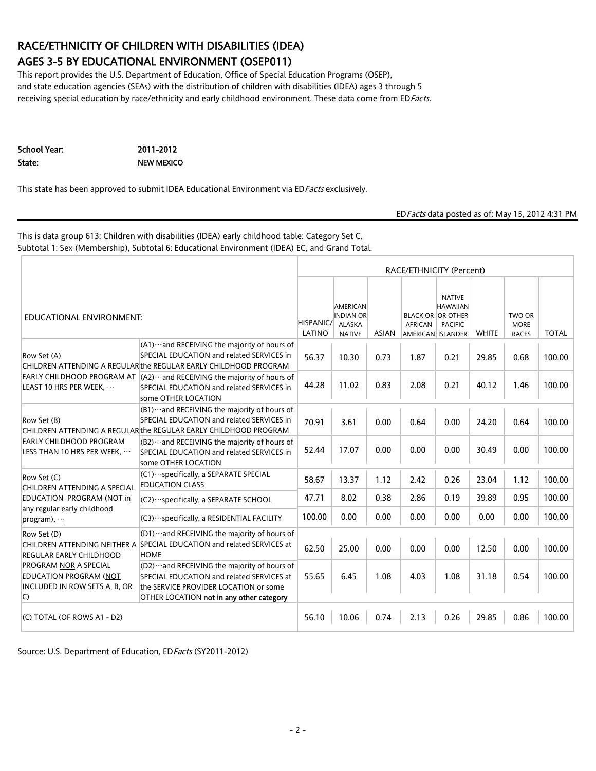### RACE/ETHNICITY OF CHILDREN WITH DISABILITIES (IDEA) AGES 3-5 BY EDUCATIONAL ENVIRONMENT (OSEP011)

This report provides the U.S. Department of Education, Office of Special Education Programs (OSEP), and state education agencies (SEAs) with the distribution of children with disabilities (IDEA) ages 3 through 5 receiving special education by race/ethnicity and early childhood environment. These data come from EDFacts.

School Year: 2011-2012 State: NEW MEXICO

This state has been approved to submit IDEA Educational Environment via EDFacts exclusively.

EDFacts data posted as of: May 15, 2012 4:31 PM

This is data group 613: Children with disabilities (IDEA) early childhood table: Category Set C, Subtotal 1: Sex (Membership), Subtotal 6: Educational Environment (IDEA) EC, and Grand Total.

|                                                                                                                                                                                                                                                                                                                                                                                                                                                               | RACE/ETHNICITY (Percent)                                                                                                                                                       |                     |                                                         |              |         |                                                                                                     |              |                                       |              |
|---------------------------------------------------------------------------------------------------------------------------------------------------------------------------------------------------------------------------------------------------------------------------------------------------------------------------------------------------------------------------------------------------------------------------------------------------------------|--------------------------------------------------------------------------------------------------------------------------------------------------------------------------------|---------------------|---------------------------------------------------------|--------------|---------|-----------------------------------------------------------------------------------------------------|--------------|---------------------------------------|--------------|
|                                                                                                                                                                                                                                                                                                                                                                                                                                                               |                                                                                                                                                                                | HISPANIC/<br>LATINO | AMERICAN<br><b>INDIAN OR</b><br>ALASKA<br><b>NATIVE</b> | <b>ASIAN</b> | AFRICAN | <b>NATIVE</b><br><b>HAWAIIAN</b><br><b>BLACK OR OR OTHER</b><br><b>PACIFIC</b><br>AMERICAN ISLANDER | <b>WHITE</b> | TWO OR<br><b>MORE</b><br><b>RACES</b> | <b>TOTAL</b> |
| EDUCATIONAL ENVIRONMENT:<br>Row Set (A)<br>LEAST 10 HRS PER WEEK,<br>Row Set (B)<br>EARLY CHILDHOOD PROGRAM<br>LESS THAN 10 HRS PER WEEK,<br>Row Set (C)<br>CHILDREN ATTENDING A SPECIAL<br>EDUCATION PROGRAM (NOT in<br>any regular early childhood<br>$program)$ ,<br>Row Set (D)<br>REGULAR EARLY CHILDHOOD<br><b>PROGRAM NOR A SPECIAL</b><br>EDUCATION PROGRAM (NOT<br>INCLUDED IN ROW SETS A, B, OR<br>$\vert C \rangle$<br>(C) TOTAL (OF ROWS A1 - D2) | $(A1)$ and RECEIVING the majority of hours of<br>SPECIAL EDUCATION and related SERVICES in<br>CHILDREN ATTENDING A REGULARIthe REGULAR EARLY CHILDHOOD PROGRAM                 | 56.37               | 10.30                                                   | 0.73         | 1.87    | 0.21                                                                                                | 29.85        | 0.68                                  | 100.00       |
|                                                                                                                                                                                                                                                                                                                                                                                                                                                               | EARLY CHILDHOOD PROGRAM AT $(A2)$ . and RECEIVING the majority of hours of<br>SPECIAL EDUCATION and related SERVICES in<br>some OTHER LOCATION                                 | 44.28               | 11.02                                                   | 0.83         | 2.08    | 0.21                                                                                                | 40.12        | 1.46                                  | 100.00       |
|                                                                                                                                                                                                                                                                                                                                                                                                                                                               | $(B1)$ and RECEIVING the majority of hours of<br>SPECIAL EDUCATION and related SERVICES in<br>CHILDREN ATTENDING A REGULAR the REGULAR EARLY CHILDHOOD PROGRAM                 | 70.91               | 3.61                                                    | 0.00         | 0.64    | 0.00                                                                                                | 24.20        | 0.64                                  | 100.00       |
|                                                                                                                                                                                                                                                                                                                                                                                                                                                               | (B2) ··· and RECEIVING the majority of hours of<br>SPECIAL EDUCATION and related SERVICES in<br>some OTHER LOCATION                                                            | 52.44               | 17.07                                                   | 0.00         | 0.00    | 0.00                                                                                                | 30.49        | 0.00                                  | 100.00       |
|                                                                                                                                                                                                                                                                                                                                                                                                                                                               | (C1) · · · specifically, a SEPARATE SPECIAL<br><b>EDUCATION CLASS</b>                                                                                                          | 58.67               | 13.37                                                   | 1.12         | 2.42    | 0.26                                                                                                | 23.04        | 1.12                                  | 100.00       |
|                                                                                                                                                                                                                                                                                                                                                                                                                                                               | (C2) ··· specifically, a SEPARATE SCHOOL                                                                                                                                       | 47.71               | 8.02                                                    | 0.38         | 2.86    | 0.19                                                                                                | 39.89        | 0.95                                  | 100.00       |
|                                                                                                                                                                                                                                                                                                                                                                                                                                                               | (C3) · ·· specifically, a RESIDENTIAL FACILITY                                                                                                                                 | 100.00              | 0.00                                                    | 0.00         | 0.00    | 0.00                                                                                                | 0.00         | 0.00                                  | 100.00       |
|                                                                                                                                                                                                                                                                                                                                                                                                                                                               | $[01)$ and RECEIVING the majority of hours of<br>CHILDREN ATTENDING NEITHER A SPECIAL EDUCATION and related SERVICES at<br><b>HOME</b>                                         | 62.50               | 25.00                                                   | 0.00         | 0.00    | 0.00                                                                                                | 12.50        | 0.00                                  | 100.00       |
|                                                                                                                                                                                                                                                                                                                                                                                                                                                               | (D2)  and RECEIVING the majority of hours of<br>SPECIAL EDUCATION and related SERVICES at<br>the SERVICE PROVIDER LOCATION or some<br>OTHER LOCATION not in any other category | 55.65               | 6.45                                                    | 1.08         | 4.03    | 1.08                                                                                                | 31.18        | 0.54                                  | 100.00       |
|                                                                                                                                                                                                                                                                                                                                                                                                                                                               |                                                                                                                                                                                | 56.10               | 10.06                                                   | 0.74         | 2.13    | 0.26                                                                                                | 29.85        | 0.86                                  | 100.00       |

Source: U.S. Department of Education, ED Facts (SY2011-2012)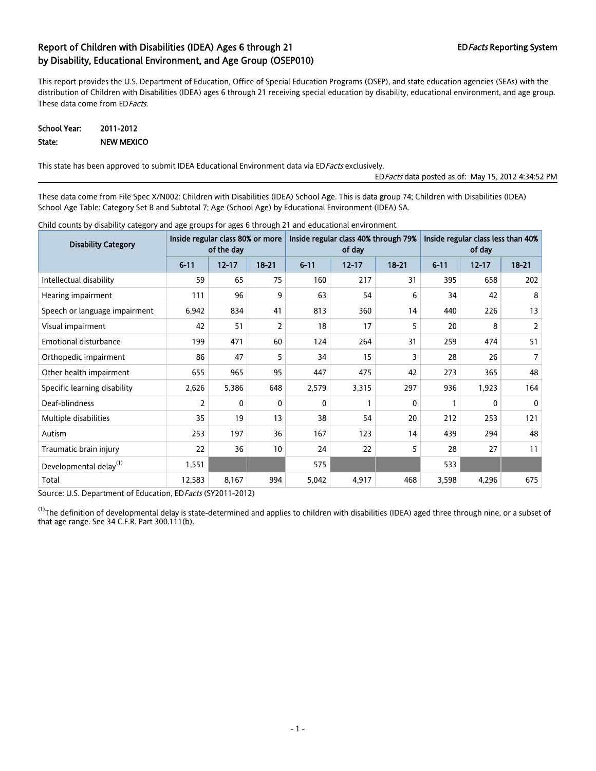This report provides the U.S. Department of Education, Office of Special Education Programs (OSEP), and state education agencies (SEAs) with the distribution of Children with Disabilities (IDEA) ages 6 through 21 receiving special education by disability, educational environment, and age group. These data come from ED Facts.

#### School Year: 2011-2012 State: NEW MEXICO

This state has been approved to submit IDEA Educational Environment data via ED Facts exclusively.

EDFacts data posted as of: May 15, 2012 4:34:52 PM

These data come from File Spec X/N002: Children with Disabilities (IDEA) School Age. This is data group 74; Children with Disabilities (IDEA) School Age Table: Category Set B and Subtotal 7; Age (School Age) by Educational Environment (IDEA) SA.

| <b>Disability Category</b>         | Inside regular class 80% or more | of the day |              | Inside regular class 40% through 79%<br>of day |           |              | Inside regular class less than 40%<br>of day |           |                |  |
|------------------------------------|----------------------------------|------------|--------------|------------------------------------------------|-----------|--------------|----------------------------------------------|-----------|----------------|--|
|                                    | $6 - 11$                         | $12 - 17$  | $18 - 21$    | $6 - 11$                                       | $12 - 17$ | $18 - 21$    | $6 - 11$                                     | $12 - 17$ | $18 - 21$      |  |
| Intellectual disability            | 59                               | 65         | 75           | 160                                            | 217       | 31           | 395                                          | 658       | 202            |  |
| Hearing impairment                 | 111                              | 96         | 9            | 63                                             | 54        | 6            | 34                                           | 42        | 8              |  |
| Speech or language impairment      | 6,942                            | 834        | 41           | 813                                            | 360       | 14           | 440                                          | 226       | 13             |  |
| Visual impairment                  | 42                               | 51         | 2            | 18                                             | 17        | 5            | 20                                           | 8         | $\overline{2}$ |  |
| <b>Emotional disturbance</b>       | 199                              | 471        | 60           | 124                                            | 264       | 31           | 259                                          | 474       | 51             |  |
| Orthopedic impairment              | 86                               | 47         | 5            | 34                                             | 15        | 3            | 28                                           | 26        | $7^{\circ}$    |  |
| Other health impairment            | 655                              | 965        | 95           | 447                                            | 475       | 42           | 273                                          | 365       | 48             |  |
| Specific learning disability       | 2,626                            | 5,386      | 648          | 2,579                                          | 3,315     | 297          | 936                                          | 1,923     | 164            |  |
| Deaf-blindness                     | 2                                | 0          | $\mathbf{0}$ | $\mathbf{0}$                                   |           | $\mathbf{0}$ |                                              | 0         | $\mathbf{0}$   |  |
| Multiple disabilities              | 35                               | 19         | 13           | 38                                             | 54        | 20           | 212                                          | 253       | 121            |  |
| Autism                             | 253                              | 197        | 36           | 167                                            | 123       | 14           | 439                                          | 294       | 48             |  |
| Traumatic brain injury             | 22                               | 36         | 10           | 24                                             | 22        | 5            | 28                                           | 27        | 11             |  |
| Developmental delay <sup>(1)</sup> | 1,551                            |            |              | 575                                            |           |              | 533                                          |           |                |  |
| Total                              | 12,583                           | 8,167      | 994          | 5,042                                          | 4,917     | 468          | 3,598                                        | 4,296     | 675            |  |

Child counts by disability category and age groups for ages 6 through 21 and educational environment

Source: U.S. Department of Education, ED Facts (SY2011-2012)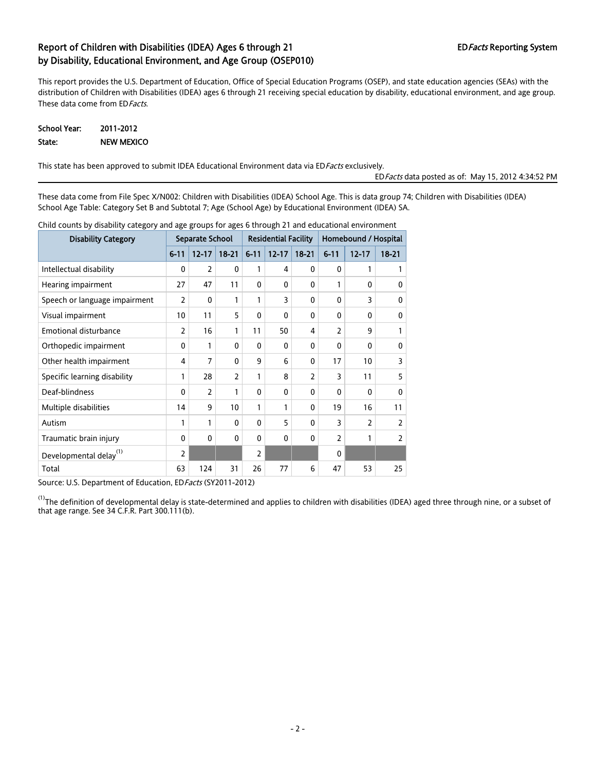This report provides the U.S. Department of Education, Office of Special Education Programs (OSEP), and state education agencies (SEAs) with the distribution of Children with Disabilities (IDEA) ages 6 through 21 receiving special education by disability, educational environment, and age group. These data come from ED Facts.

#### School Year: 2011-2012 State: NEW MEXICO

This state has been approved to submit IDEA Educational Environment data via ED Facts exclusively.

EDFacts data posted as of: May 15, 2012 4:34:52 PM

These data come from File Spec X/N002: Children with Disabilities (IDEA) School Age. This is data group 74; Children with Disabilities (IDEA) School Age Table: Category Set B and Subtotal 7; Age (School Age) by Educational Environment (IDEA) SA.

| <b>Disability Category</b>         |                | Separate School |                 |                | <b>Residential Facility</b> |              |                | Homebound / Hospital |              |  |  |
|------------------------------------|----------------|-----------------|-----------------|----------------|-----------------------------|--------------|----------------|----------------------|--------------|--|--|
|                                    | $6 - 11$       | $12 - 17$       | $18 - 21$       | $6 - 11$       | $12 - 17$                   | $18 - 21$    | $6 - 11$       | $12 - 17$            | $18 - 21$    |  |  |
| Intellectual disability            | 0              | $\overline{2}$  | $\mathbf{0}$    | 1              | 4                           | $\mathbf{0}$ | $\Omega$       | 1                    | 1            |  |  |
| Hearing impairment                 | 27             | 47              | 11              | $\Omega$       | $\mathbf{0}$                | $\mathbf{0}$ | 1              | $\Omega$             | $\mathbf{0}$ |  |  |
| Speech or language impairment      | $\overline{2}$ | 0               | 1               | 1              | 3                           | 0            | $\mathbf{0}$   | 3                    | 0            |  |  |
| Visual impairment                  | 10             | 11              | 5               | 0              | $\mathbf{0}$                | 0            | $\mathbf{0}$   | 0                    | 0            |  |  |
| <b>Emotional disturbance</b>       | $\overline{2}$ | 16              | $\mathbf{1}$    | 11             | 50                          | 4            | $\overline{2}$ | 9                    | 1            |  |  |
| Orthopedic impairment              | 0              | 1               | $\mathbf{0}$    | 0              | $\mathbf{0}$                | 0            | $\mathbf{0}$   | 0                    | 0            |  |  |
| Other health impairment            | 4              | $\overline{7}$  | $\mathbf{0}$    | 9              | 6                           | 0            | 17             | 10                   | 3            |  |  |
| Specific learning disability       | 1              | 28              | $\overline{2}$  | 1              | 8                           | 2            | 3              | 11                   | 5            |  |  |
| Deaf-blindness                     | $\mathbf{0}$   | $\overline{2}$  | $\mathbf{1}$    | 0              | $\mathbf{0}$                | $\mathbf{0}$ | $\mathbf{0}$   | 0                    | $\mathbf{0}$ |  |  |
| Multiple disabilities              | 14             | 9               | 10 <sup>°</sup> | 1              | 1                           | 0            | 19             | 16                   | 11           |  |  |
| Autism                             | 1              | 1               | $\mathbf{0}$    | 0              | 5                           | $\mathbf{0}$ | 3              | $\overline{2}$       | 2            |  |  |
| Traumatic brain injury             | $\mathbf{0}$   | $\mathbf{0}$    | $\mathbf{0}$    | 0              | $\mathbf{0}$                | 0            | 2              | 1                    | 2            |  |  |
| Developmental delay <sup>(1)</sup> | $\overline{2}$ |                 |                 | $\overline{2}$ |                             |              | $\mathbf{0}$   |                      |              |  |  |
| Total                              | 63             | 124             | 31              | 26             | 77                          | 6            | 47             | 53                   | 25           |  |  |

Child counts by disability category and age groups for ages 6 through 21 and educational environment

Source: U.S. Department of Education, ED Facts (SY2011-2012)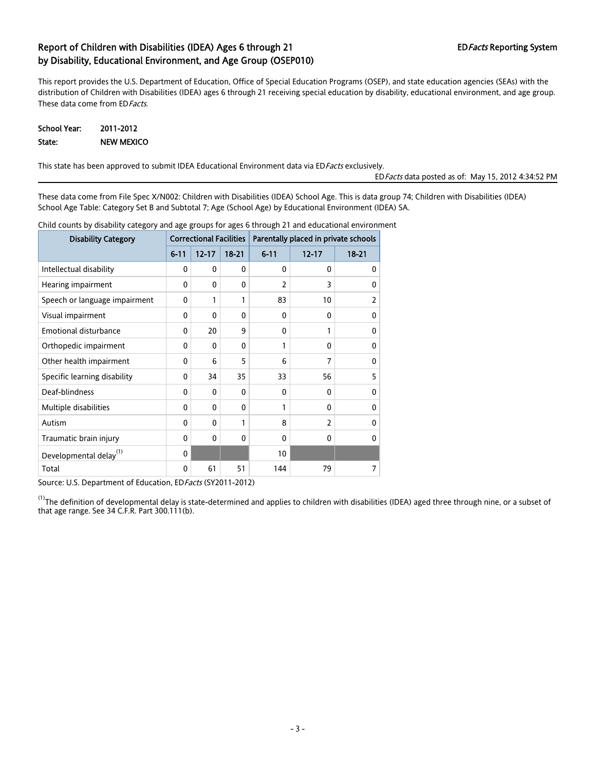This report provides the U.S. Department of Education, Office of Special Education Programs (OSEP), and state education agencies (SEAs) with the distribution of Children with Disabilities (IDEA) ages 6 through 21 receiving special education by disability, educational environment, and age group. These data come from ED Facts.

#### School Year: 2011-2012 State: NEW MEXICO

This state has been approved to submit IDEA Educational Environment data via ED Facts exclusively.

EDFacts data posted as of: May 15, 2012 4:34:52 PM

These data come from File Spec X/N002: Children with Disabilities (IDEA) School Age. This is data group 74; Children with Disabilities (IDEA) School Age Table: Category Set B and Subtotal 7; Age (School Age) by Educational Environment (IDEA) SA.

| disdome) catagory and aga groups ror agas o timough<br><b>Disability Category</b> |          |              |              | Correctional Facilities   Parentally placed in private schools |                |              |  |
|-----------------------------------------------------------------------------------|----------|--------------|--------------|----------------------------------------------------------------|----------------|--------------|--|
|                                                                                   | $6 - 11$ | $12 - 17$    | $18 - 21$    | $6 - 11$                                                       | $12 - 17$      | $18 - 21$    |  |
| Intellectual disability                                                           | 0        | 0            | $\mathbf{0}$ | 0                                                              | $\Omega$       | 0            |  |
| Hearing impairment                                                                | 0        | 0            | $\Omega$     | $\overline{2}$                                                 | 3              | $\Omega$     |  |
| Speech or language impairment                                                     | 0        | 1            | 1            | 83                                                             | 10             | 2            |  |
| Visual impairment                                                                 | 0        | $\mathbf{0}$ | $\mathbf{0}$ | 0                                                              | 0              | 0            |  |
| <b>Emotional disturbance</b>                                                      | 0        | 20           | 9            | 0                                                              | 1              | $\mathbf{0}$ |  |
| Orthopedic impairment                                                             | 0        | $\mathbf{0}$ | $\mathbf{0}$ | 1                                                              | 0              | $\mathbf{0}$ |  |
| Other health impairment                                                           | 0        | 6            | 5            | 6                                                              | $\overline{7}$ | 0            |  |
| Specific learning disability                                                      | 0        | 34           | 35           | 33                                                             | 56             | 5            |  |
| Deaf-blindness                                                                    | 0        | 0            | $\mathbf{0}$ | 0                                                              | 0              | 0            |  |
| Multiple disabilities                                                             | 0        | $\mathbf{0}$ | $\Omega$     | 1                                                              | 0              | 0            |  |
| Autism                                                                            | 0        | 0            | 1            | 8                                                              | $\overline{2}$ | 0            |  |
| Traumatic brain injury                                                            | 0        | $\mathbf{0}$ | $\mathbf{0}$ | 0                                                              | 0              | $\Omega$     |  |
| Developmental delay <sup>(1)</sup>                                                | 0        |              |              | 10                                                             |                |              |  |
| Total                                                                             | 0        | 61           | 51           | 144                                                            | 79             | 7            |  |

Child counts by disability category and age groups for ages 6 through 21 and educational environment

Source: U.S. Department of Education, ED Facts (SY2011-2012)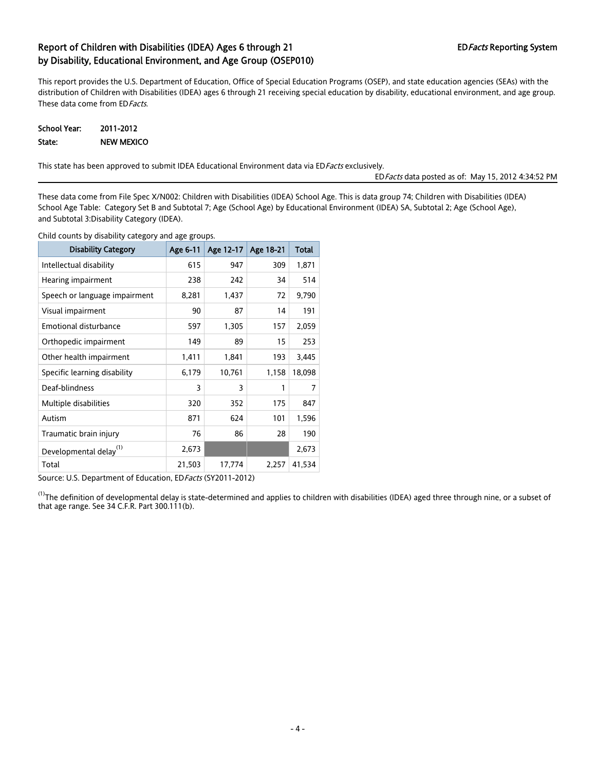This report provides the U.S. Department of Education, Office of Special Education Programs (OSEP), and state education agencies (SEAs) with the distribution of Children with Disabilities (IDEA) ages 6 through 21 receiving special education by disability, educational environment, and age group. These data come from ED Facts.

| School Year: | 2011-2012         |
|--------------|-------------------|
| State:       | <b>NEW MEXICO</b> |

This state has been approved to submit IDEA Educational Environment data via ED Facts exclusively.

EDFacts data posted as of: May 15, 2012 4:34:52 PM

These data come from File Spec X/N002: Children with Disabilities (IDEA) School Age. This is data group 74; Children with Disabilities (IDEA) School Age Table: Category Set B and Subtotal 7; Age (School Age) by Educational Environment (IDEA) SA, Subtotal 2; Age (School Age), and Subtotal 3:Disability Category (IDEA).

Child counts by disability category and age groups.

| <b>Disability Category</b>         | Age 6-11 | Age 12-17 Age 18-21 |       | Total  |
|------------------------------------|----------|---------------------|-------|--------|
| Intellectual disability            | 615      | 947                 | 309   | 1,871  |
| Hearing impairment                 | 238      | 242                 | 34    | 514    |
| Speech or language impairment      | 8,281    | 1,437               | 72    | 9,790  |
| Visual impairment                  | 90       | 87                  | 14    | 191    |
| <b>Emotional disturbance</b>       | 597      | 1,305               | 157   | 2,059  |
| Orthopedic impairment              | 149      | 89                  | 15    | 253    |
| Other health impairment            | 1,411    | 1,841               | 193   | 3,445  |
| Specific learning disability       | 6,179    | 10,761              | 1,158 | 18,098 |
| Deaf-blindness                     | 3        | 3                   | 1     | 7      |
| Multiple disabilities              | 320      | 352                 | 175   | 847    |
| Autism                             | 871      | 624                 | 101   | 1,596  |
| Traumatic brain injury             | 76       | 86                  | 28    | 190    |
| Developmental delay <sup>(1)</sup> | 2,673    |                     |       | 2,673  |
| Total                              | 21,503   | 17,774              | 2,257 | 41,534 |

Source: U.S. Department of Education, ED Facts (SY2011-2012)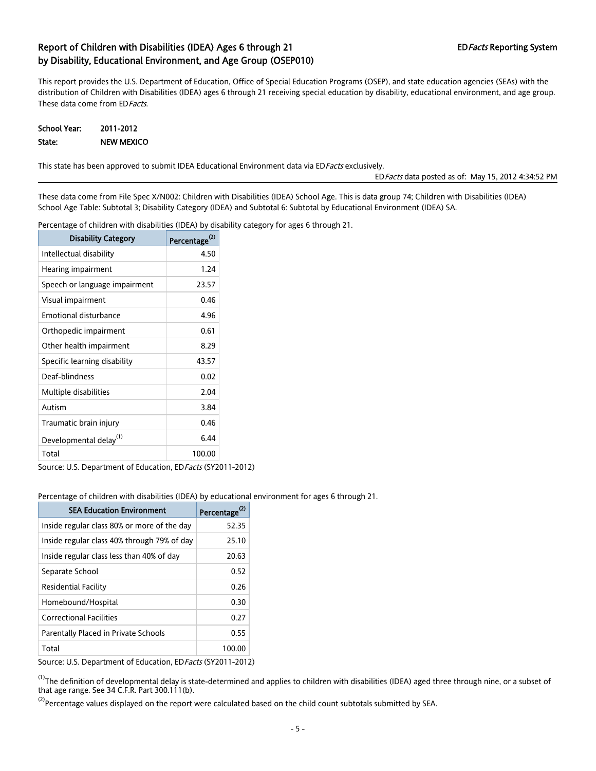This report provides the U.S. Department of Education, Office of Special Education Programs (OSEP), and state education agencies (SEAs) with the distribution of Children with Disabilities (IDEA) ages 6 through 21 receiving special education by disability, educational environment, and age group. These data come from ED Facts.

| School Year: | 2011-2012         |
|--------------|-------------------|
| State:       | <b>NEW MEXICO</b> |

This state has been approved to submit IDEA Educational Environment data via ED Facts exclusively.

EDFacts data posted as of: May 15, 2012 4:34:52 PM

These data come from File Spec X/N002: Children with Disabilities (IDEA) School Age. This is data group 74; Children with Disabilities (IDEA) School Age Table: Subtotal 3; Disability Category (IDEA) and Subtotal 6: Subtotal by Educational Environment (IDEA) SA.

Percentage of children with disabilities (IDEA) by disability category for ages 6 through 21.

| <b>Disability Category</b>         | Percentage |
|------------------------------------|------------|
| Intellectual disability            | 4.50       |
| Hearing impairment                 | 1.24       |
| Speech or language impairment      | 23.57      |
| Visual impairment                  | 0.46       |
| Emotional disturbance              | 4 96       |
| Orthopedic impairment              | 0.61       |
| Other health impairment            | 8.29       |
| Specific learning disability       | 43.57      |
| Deaf-blindness                     | 0.02       |
| Multiple disabilities              | 2.04       |
| Autism                             | 3.84       |
| Traumatic brain injury             | 0.46       |
| Developmental delay <sup>(1)</sup> | 6.44       |
| Total                              | 100.00     |

Source: U.S. Department of Education, ED Facts (SY2011-2012)

Percentage of children with disabilities (IDEA) by educational environment for ages 6 through 21.

| <b>SEA Education Environment</b>            | Percentage <sup>(2)</sup> |
|---------------------------------------------|---------------------------|
| Inside regular class 80% or more of the day | 52.35                     |
| Inside regular class 40% through 79% of day | 25.10                     |
| Inside regular class less than 40% of day   | 20.63                     |
| Separate School                             | 0.52                      |
| Residential Facility                        | 0.26                      |
| Homebound/Hospital                          | 0.30                      |
| <b>Correctional Facilities</b>              | 0.27                      |
| Parentally Placed in Private Schools        | 0.55                      |
| Total                                       | 100.00                    |

Source: U.S. Department of Education, ED Facts (SY2011-2012)

 $^{(1)}$ The definition of developmental delay is state-determined and applies to children with disabilities (IDEA) aged three through nine, or a subset of that age range. See 34 C.F.R. Part 300.111(b).

 $^{(2)}$ Percentage values displayed on the report were calculated based on the child count subtotals submitted by SEA.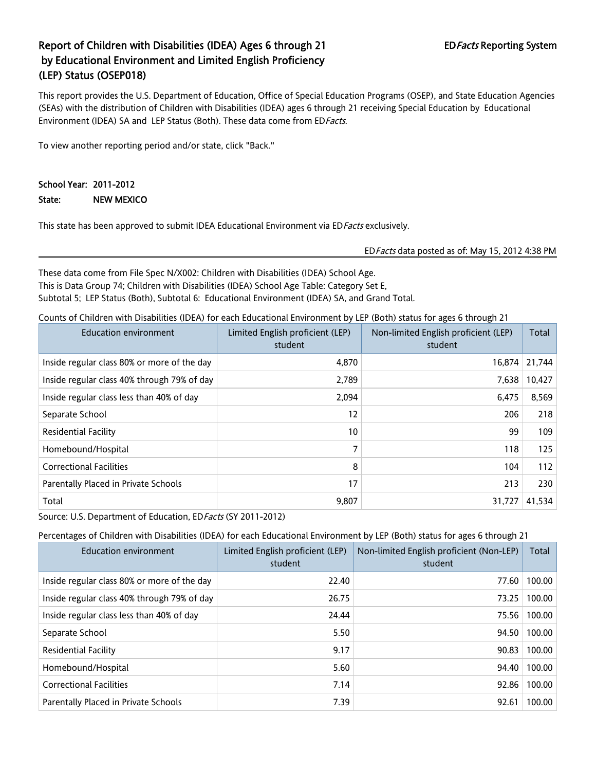### Report of Children with Disabilities (IDEA) Ages 6 through 21 EDFacts Reporting System by Educational Environment and Limited English Proficiency (LEP) Status (OSEP018)

This report provides the U.S. Department of Education, Office of Special Education Programs (OSEP), and State Education Agencies (SEAs) with the distribution of Children with Disabilities (IDEA) ages 6 through 21 receiving Special Education by Educational Environment (IDEA) SA and LEP Status (Both). These data come from ED Facts.

To view another reporting period and/or state, click "Back."

### School Year: 2011-2012

State: NEW MEXICO

This state has been approved to submit IDEA Educational Environment via ED Facts exclusively.

EDFacts data posted as of: May 15, 2012 4:38 PM

These data come from File Spec N/X002: Children with Disabilities (IDEA) School Age. This is Data Group 74; Children with Disabilities (IDEA) School Age Table: Category Set E, Subtotal 5; LEP Status (Both), Subtotal 6: Educational Environment (IDEA) SA, and Grand Total.

Counts of Children with Disabilities (IDEA) for each Educational Environment by LEP (Both) status for ages 6 through 21

| <b>Education environment</b>                | Limited English proficient (LEP)<br>student | Non-limited English proficient (LEP)<br>student | Total  |
|---------------------------------------------|---------------------------------------------|-------------------------------------------------|--------|
| Inside regular class 80% or more of the day | 4,870                                       | 16,874                                          | 21,744 |
| Inside regular class 40% through 79% of day | 2,789                                       | 7,638                                           | 10,427 |
| Inside regular class less than 40% of day   | 2,094                                       | 6,475                                           | 8,569  |
| Separate School                             | 12                                          | 206                                             | 218    |
| <b>Residential Facility</b>                 | 10                                          | 99                                              | 109    |
| Homebound/Hospital                          | 7                                           | 118                                             | 125    |
| <b>Correctional Facilities</b>              | 8                                           | 104                                             | 112    |
| Parentally Placed in Private Schools        | 17                                          | 213                                             | 230    |
| Total                                       | 9,807                                       | 31,727                                          | 41,534 |

Source: U.S. Department of Education, ED Facts (SY 2011-2012)

Percentages of Children with Disabilities (IDEA) for each Educational Environment by LEP (Both) status for ages 6 through 21

| <b>Education environment</b>                | Limited English proficient (LEP)<br>student | Non-limited English proficient (Non-LEP)<br>student | Total  |
|---------------------------------------------|---------------------------------------------|-----------------------------------------------------|--------|
| Inside regular class 80% or more of the day | 22.40                                       | 77.60                                               | 100.00 |
| Inside regular class 40% through 79% of day | 26.75                                       | 73.25                                               | 100.00 |
| Inside regular class less than 40% of day   | 24.44                                       | 75.56                                               | 100.00 |
| Separate School                             | 5.50                                        | 94.50                                               | 100.00 |
| Residential Facility                        | 9.17                                        | 90.83                                               | 100.00 |
| Homebound/Hospital                          | 5.60                                        | 94.40                                               | 100.00 |
| <b>Correctional Facilities</b>              | 7.14                                        | 92.86                                               | 100.00 |
| Parentally Placed in Private Schools        | 7.39                                        | 92.61                                               | 100.00 |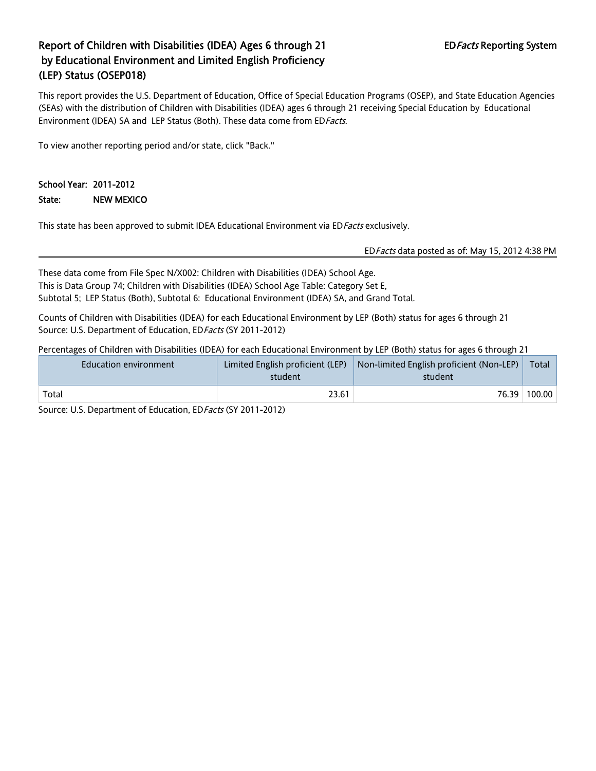### Report of Children with Disabilities (IDEA) Ages 6 through 21 EDFacts Reporting System by Educational Environment and Limited English Proficiency (LEP) Status (OSEP018)

This report provides the U.S. Department of Education, Office of Special Education Programs (OSEP), and State Education Agencies (SEAs) with the distribution of Children with Disabilities (IDEA) ages 6 through 21 receiving Special Education by Educational Environment (IDEA) SA and LEP Status (Both). These data come from ED Facts.

To view another reporting period and/or state, click "Back."

#### School Year: 2011-2012

State: NEW MEXICO

This state has been approved to submit IDEA Educational Environment via ED Facts exclusively.

EDFacts data posted as of: May 15, 2012 4:38 PM

These data come from File Spec N/X002: Children with Disabilities (IDEA) School Age. This is Data Group 74; Children with Disabilities (IDEA) School Age Table: Category Set E, Subtotal 5; LEP Status (Both), Subtotal 6: Educational Environment (IDEA) SA, and Grand Total.

Counts of Children with Disabilities (IDEA) for each Educational Environment by LEP (Both) status for ages 6 through 21 Source: U.S. Department of Education, ED Facts (SY 2011-2012)

Percentages of Children with Disabilities (IDEA) for each Educational Environment by LEP (Both) status for ages 6 through 21

| Education environment | student | Limited English proficient (LEP) $\vert$ Non-limited English proficient (Non-LEP) $\vert$<br>student | Total  |
|-----------------------|---------|------------------------------------------------------------------------------------------------------|--------|
| Total                 | 23.61   | 76.39                                                                                                | 100.00 |

Source: U.S. Department of Education, ED Facts (SY 2011-2012)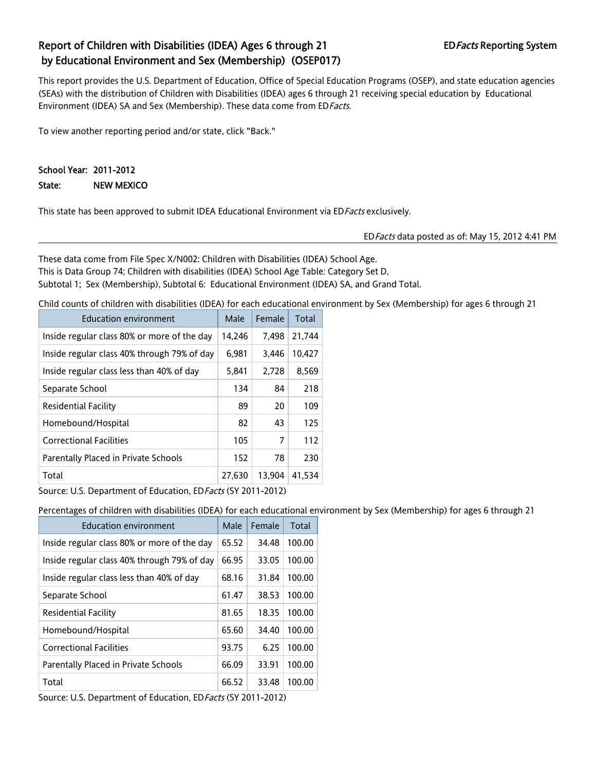### Report of Children with Disabilities (IDEA) Ages 6 through 21 EDFacts Reporting System by Educational Environment and Sex (Membership) (OSEP017)

This report provides the U.S. Department of Education, Office of Special Education Programs (OSEP), and state education agencies (SEAs) with the distribution of Children with Disabilities (IDEA) ages 6 through 21 receiving special education by Educational Environment (IDEA) SA and Sex (Membership). These data come from ED Facts.

To view another reporting period and/or state, click "Back."

#### School Year: 2011-2012

State: NEW MEXICO

This state has been approved to submit IDEA Educational Environment via ED Facts exclusively.

EDFacts data posted as of: May 15, 2012 4:41 PM

These data come from File Spec X/N002: Children with Disabilities (IDEA) School Age. This is Data Group 74; Children with disabilities (IDEA) School Age Table: Category Set D, Subtotal 1; Sex (Membership), Subtotal 6: Educational Environment (IDEA) SA, and Grand Total.

Child counts of children with disabilities (IDEA) for each educational environment by Sex (Membership) for ages 6 through 21

| <b>Education environment</b>                | Male   | Female | Total  |
|---------------------------------------------|--------|--------|--------|
| Inside regular class 80% or more of the day | 14,246 | 7,498  | 21,744 |
| Inside regular class 40% through 79% of day | 6,981  | 3,446  | 10,427 |
| Inside regular class less than 40% of day   | 5,841  | 2,728  | 8,569  |
| Separate School                             | 134    | 84     | 218    |
| <b>Residential Facility</b>                 | 89     | 20     | 109    |
| Homebound/Hospital                          | 82     | 43     | 125    |
| <b>Correctional Facilities</b>              | 105    | 7      | 112    |
| Parentally Placed in Private Schools        | 152    | 78     | 230    |
| Total                                       | 27,630 | 13,904 | 41,534 |

Source: U.S. Department of Education, ED Facts (SY 2011-2012)

Percentages of children with disabilities (IDEA) for each educational environment by Sex (Membership) for ages 6 through 21

| <b>Education environment</b>                | Male  | Female | Total  |
|---------------------------------------------|-------|--------|--------|
| Inside regular class 80% or more of the day | 65.52 | 34.48  | 100.00 |
| Inside regular class 40% through 79% of day | 66.95 | 33.05  | 100.00 |
| Inside regular class less than 40% of day   | 68.16 | 31.84  | 100.00 |
| Separate School                             | 61.47 | 38.53  | 100.00 |
| <b>Residential Facility</b>                 | 81.65 | 18.35  | 100.00 |
| Homebound/Hospital                          | 65.60 | 34.40  | 100.00 |
| <b>Correctional Facilities</b>              | 93.75 | 6.25   | 100.00 |
| Parentally Placed in Private Schools        | 66.09 | 33.91  | 100.00 |
| Total                                       | 66.52 | 33.48  | 100.00 |

Source: U.S. Department of Education, ED Facts (SY 2011-2012)